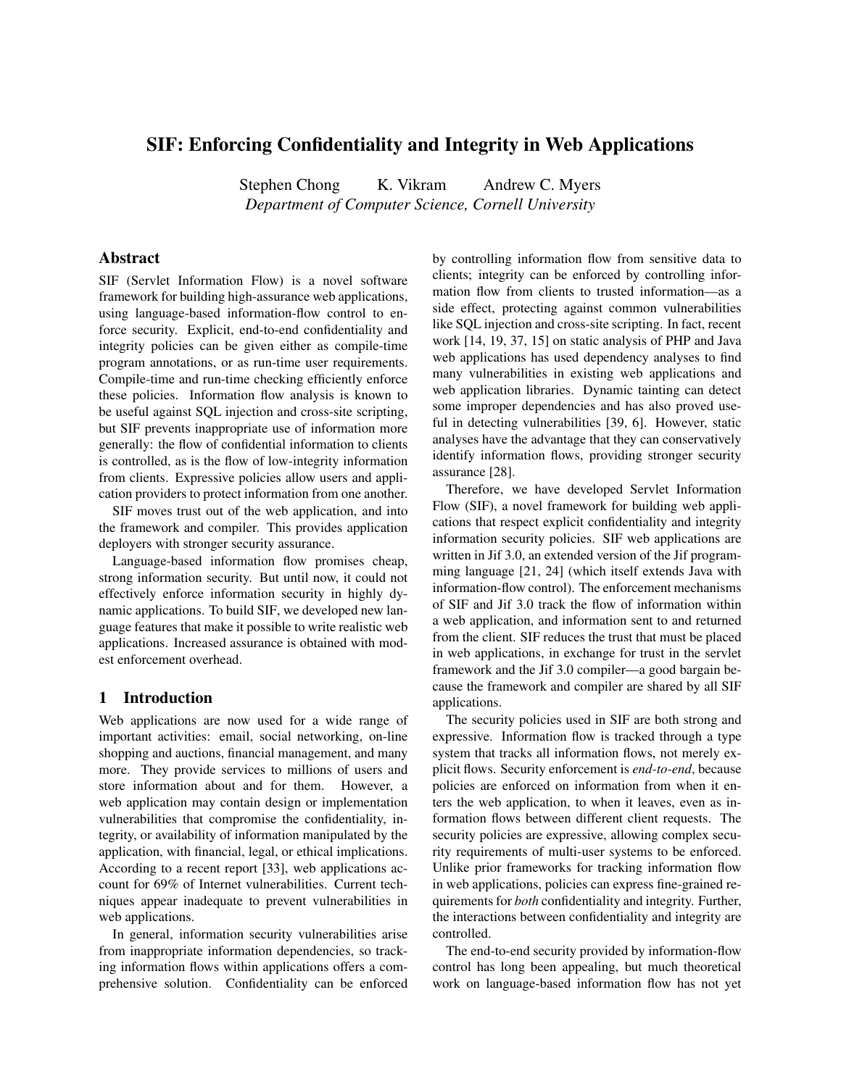# SIF: Enforcing Confidentiality and Integrity in Web Applications

Stephen Chong K. Vikram Andrew C. Myers *Department of Computer Science, Cornell University*

# Abstract

SIF (Servlet Information Flow) is a novel software framework for building high-assurance web applications, using language-based information-flow control to enforce security. Explicit, end-to-end confidentiality and integrity policies can be given either as compile-time program annotations, or as run-time user requirements. Compile-time and run-time checking efficiently enforce these policies. Information flow analysis is known to be useful against SQL injection and cross-site scripting, but SIF prevents inappropriate use of information more generally: the flow of confidential information to clients is controlled, as is the flow of low-integrity information from clients. Expressive policies allow users and application providers to protect information from one another.

SIF moves trust out of the web application, and into the framework and compiler. This provides application deployers with stronger security assurance.

Language-based information flow promises cheap, strong information security. But until now, it could not effectively enforce information security in highly dynamic applications. To build SIF, we developed new language features that make it possible to write realistic web applications. Increased assurance is obtained with modest enforcement overhead.

# 1 Introduction

Web applications are now used for a wide range of important activities: email, social networking, on-line shopping and auctions, financial management, and many more. They provide services to millions of users and store information about and for them. However, a web application may contain design or implementation vulnerabilities that compromise the confidentiality, integrity, or availability of information manipulated by the application, with financial, legal, or ethical implications. According to a recent report [33], web applications account for 69% of Internet vulnerabilities. Current techniques appear inadequate to prevent vulnerabilities in web applications.

In general, information security vulnerabilities arise from inappropriate information dependencies, so tracking information flows within applications offers a comprehensive solution. Confidentiality can be enforced by controlling information flow from sensitive data to clients; integrity can be enforced by controlling information flow from clients to trusted information—as a side effect, protecting against common vulnerabilities like SQL injection and cross-site scripting. In fact, recent work [14, 19, 37, 15] on static analysis of PHP and Java web applications has used dependency analyses to find many vulnerabilities in existing web applications and web application libraries. Dynamic tainting can detect some improper dependencies and has also proved useful in detecting vulnerabilities [39, 6]. However, static analyses have the advantage that they can conservatively identify information flows, providing stronger security assurance [28].

Therefore, we have developed Servlet Information Flow (SIF), a novel framework for building web applications that respect explicit confidentiality and integrity information security policies. SIF web applications are written in Jif 3.0, an extended version of the Jif programming language [21, 24] (which itself extends Java with information-flow control). The enforcement mechanisms of SIF and Jif 3.0 track the flow of information within a web application, and information sent to and returned from the client. SIF reduces the trust that must be placed in web applications, in exchange for trust in the servlet framework and the Jif 3.0 compiler—a good bargain because the framework and compiler are shared by all SIF applications.

The security policies used in SIF are both strong and expressive. Information flow is tracked through a type system that tracks all information flows, not merely explicit flows. Security enforcement is *end-to-end*, because policies are enforced on information from when it enters the web application, to when it leaves, even as information flows between different client requests. The security policies are expressive, allowing complex security requirements of multi-user systems to be enforced. Unlike prior frameworks for tracking information flow in web applications, policies can express fine-grained requirements for *both* confidentiality and integrity. Further, the interactions between confidentiality and integrity are controlled.

The end-to-end security provided by information-flow control has long been appealing, but much theoretical work on language-based information flow has not yet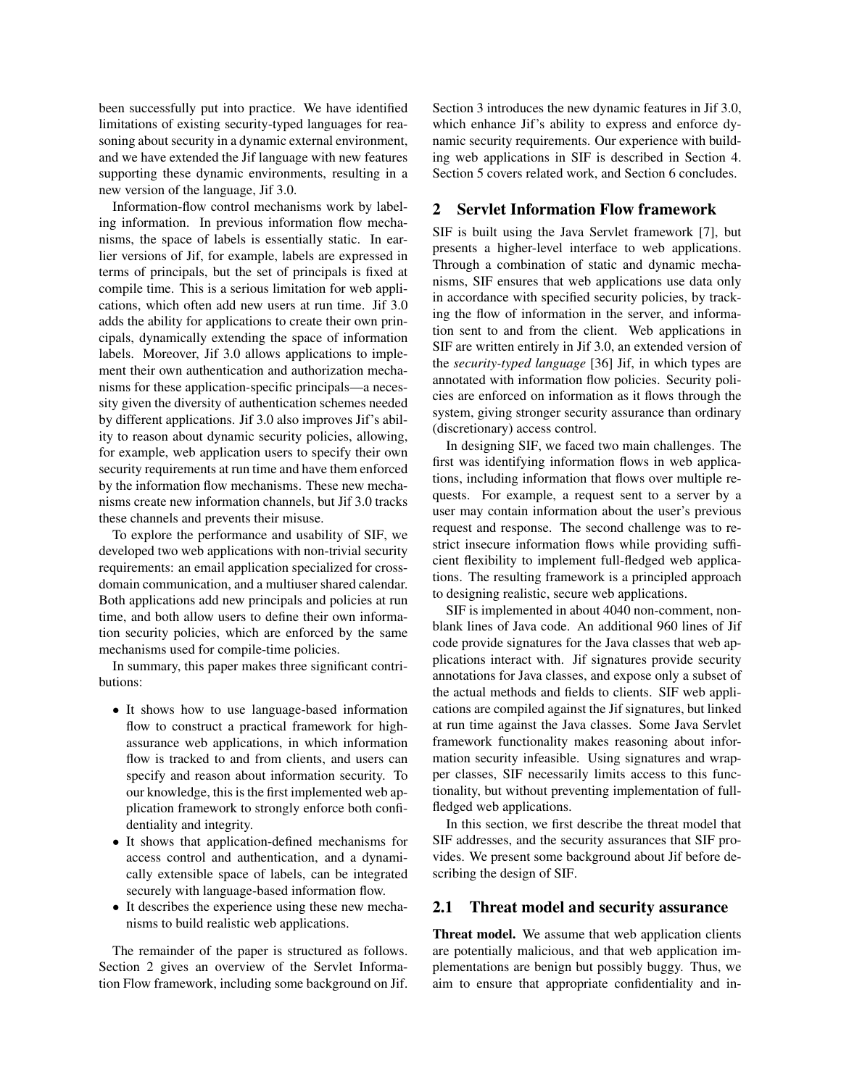been successfully put into practice. We have identified limitations of existing security-typed languages for reasoning about security in a dynamic external environment, and we have extended the Jif language with new features supporting these dynamic environments, resulting in a new version of the language, Jif 3.0.

Information-flow control mechanisms work by labeling information. In previous information flow mechanisms, the space of labels is essentially static. In earlier versions of Jif, for example, labels are expressed in terms of principals, but the set of principals is fixed at compile time. This is a serious limitation for web applications, which often add new users at run time. Jif 3.0 adds the ability for applications to create their own principals, dynamically extending the space of information labels. Moreover, Jif 3.0 allows applications to implement their own authentication and authorization mechanisms for these application-specific principals—a necessity given the diversity of authentication schemes needed by different applications. Jif 3.0 also improves Jif's ability to reason about dynamic security policies, allowing, for example, web application users to specify their own security requirements at run time and have them enforced by the information flow mechanisms. These new mechanisms create new information channels, but Jif 3.0 tracks these channels and prevents their misuse.

To explore the performance and usability of SIF, we developed two web applications with non-trivial security requirements: an email application specialized for crossdomain communication, and a multiuser shared calendar. Both applications add new principals and policies at run time, and both allow users to define their own information security policies, which are enforced by the same mechanisms used for compile-time policies.

In summary, this paper makes three significant contributions:

- It shows how to use language-based information flow to construct a practical framework for highassurance web applications, in which information flow is tracked to and from clients, and users can specify and reason about information security. To our knowledge, this is the first implemented web application framework to strongly enforce both confidentiality and integrity.
- It shows that application-defined mechanisms for access control and authentication, and a dynamically extensible space of labels, can be integrated securely with language-based information flow.
- It describes the experience using these new mechanisms to build realistic web applications.

The remainder of the paper is structured as follows. Section 2 gives an overview of the Servlet Information Flow framework, including some background on Jif. Section 3 introduces the new dynamic features in Jif 3.0, which enhance Jif's ability to express and enforce dynamic security requirements. Our experience with building web applications in SIF is described in Section 4. Section 5 covers related work, and Section 6 concludes.

# 2 Servlet Information Flow framework

SIF is built using the Java Servlet framework [7], but presents a higher-level interface to web applications. Through a combination of static and dynamic mechanisms, SIF ensures that web applications use data only in accordance with specified security policies, by tracking the flow of information in the server, and information sent to and from the client. Web applications in SIF are written entirely in Jif 3.0, an extended version of the *security-typed language* [36] Jif, in which types are annotated with information flow policies. Security policies are enforced on information as it flows through the system, giving stronger security assurance than ordinary (discretionary) access control.

In designing SIF, we faced two main challenges. The first was identifying information flows in web applications, including information that flows over multiple requests. For example, a request sent to a server by a user may contain information about the user's previous request and response. The second challenge was to restrict insecure information flows while providing sufficient flexibility to implement full-fledged web applications. The resulting framework is a principled approach to designing realistic, secure web applications.

SIF is implemented in about 4040 non-comment, nonblank lines of Java code. An additional 960 lines of Jif code provide signatures for the Java classes that web applications interact with. Jif signatures provide security annotations for Java classes, and expose only a subset of the actual methods and fields to clients. SIF web applications are compiled against the Jif signatures, but linked at run time against the Java classes. Some Java Servlet framework functionality makes reasoning about information security infeasible. Using signatures and wrapper classes, SIF necessarily limits access to this functionality, but without preventing implementation of fullfledged web applications.

In this section, we first describe the threat model that SIF addresses, and the security assurances that SIF provides. We present some background about Jif before describing the design of SIF.

#### 2.1 Threat model and security assurance

Threat model. We assume that web application clients are potentially malicious, and that web application implementations are benign but possibly buggy. Thus, we aim to ensure that appropriate confidentiality and in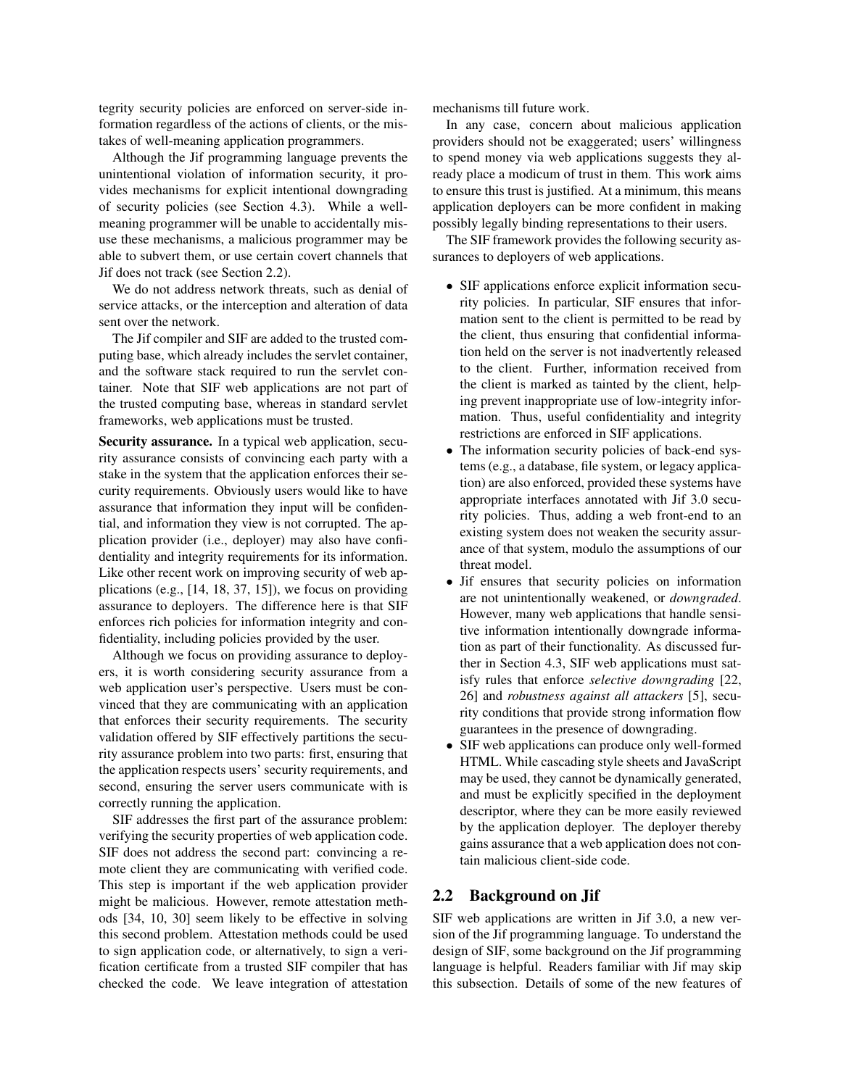tegrity security policies are enforced on server-side information regardless of the actions of clients, or the mistakes of well-meaning application programmers.

Although the Jif programming language prevents the unintentional violation of information security, it provides mechanisms for explicit intentional downgrading of security policies (see Section 4.3). While a wellmeaning programmer will be unable to accidentally misuse these mechanisms, a malicious programmer may be able to subvert them, or use certain covert channels that Jif does not track (see Section 2.2).

We do not address network threats, such as denial of service attacks, or the interception and alteration of data sent over the network.

The Jif compiler and SIF are added to the trusted computing base, which already includes the servlet container, and the software stack required to run the servlet container. Note that SIF web applications are not part of the trusted computing base, whereas in standard servlet frameworks, web applications must be trusted.

Security assurance. In a typical web application, security assurance consists of convincing each party with a stake in the system that the application enforces their security requirements. Obviously users would like to have assurance that information they input will be confidential, and information they view is not corrupted. The application provider (i.e., deployer) may also have confidentiality and integrity requirements for its information. Like other recent work on improving security of web applications (e.g., [14, 18, 37, 15]), we focus on providing assurance to deployers. The difference here is that SIF enforces rich policies for information integrity and confidentiality, including policies provided by the user.

Although we focus on providing assurance to deployers, it is worth considering security assurance from a web application user's perspective. Users must be convinced that they are communicating with an application that enforces their security requirements. The security validation offered by SIF effectively partitions the security assurance problem into two parts: first, ensuring that the application respects users' security requirements, and second, ensuring the server users communicate with is correctly running the application.

SIF addresses the first part of the assurance problem: verifying the security properties of web application code. SIF does not address the second part: convincing a remote client they are communicating with verified code. This step is important if the web application provider might be malicious. However, remote attestation methods [34, 10, 30] seem likely to be effective in solving this second problem. Attestation methods could be used to sign application code, or alternatively, to sign a verification certificate from a trusted SIF compiler that has checked the code. We leave integration of attestation mechanisms till future work.

In any case, concern about malicious application providers should not be exaggerated; users' willingness to spend money via web applications suggests they already place a modicum of trust in them. This work aims to ensure this trust is justified. At a minimum, this means application deployers can be more confident in making possibly legally binding representations to their users.

The SIF framework provides the following security assurances to deployers of web applications.

- SIF applications enforce explicit information security policies. In particular, SIF ensures that information sent to the client is permitted to be read by the client, thus ensuring that confidential information held on the server is not inadvertently released to the client. Further, information received from the client is marked as tainted by the client, helping prevent inappropriate use of low-integrity information. Thus, useful confidentiality and integrity restrictions are enforced in SIF applications.
- The information security policies of back-end systems (e.g., a database, file system, or legacy application) are also enforced, provided these systems have appropriate interfaces annotated with Jif 3.0 security policies. Thus, adding a web front-end to an existing system does not weaken the security assurance of that system, modulo the assumptions of our threat model.
- Jif ensures that security policies on information are not unintentionally weakened, or *downgraded*. However, many web applications that handle sensitive information intentionally downgrade information as part of their functionality. As discussed further in Section 4.3, SIF web applications must satisfy rules that enforce *selective downgrading* [22, 26] and *robustness against all attackers* [5], security conditions that provide strong information flow guarantees in the presence of downgrading.
- SIF web applications can produce only well-formed HTML. While cascading style sheets and JavaScript may be used, they cannot be dynamically generated, and must be explicitly specified in the deployment descriptor, where they can be more easily reviewed by the application deployer. The deployer thereby gains assurance that a web application does not contain malicious client-side code.

#### 2.2 Background on Jif

SIF web applications are written in Jif 3.0, a new version of the Jif programming language. To understand the design of SIF, some background on the Jif programming language is helpful. Readers familiar with Jif may skip this subsection. Details of some of the new features of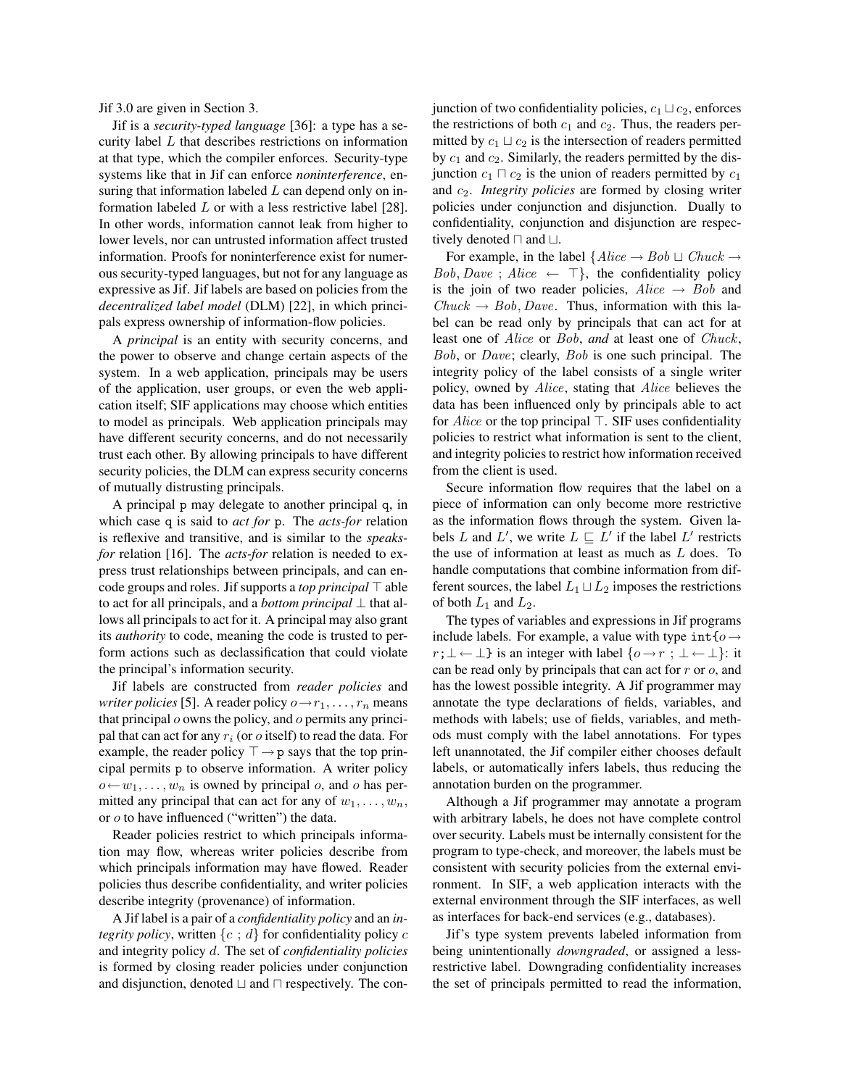Jif 3.0 are given in Section 3.

Jif is a *security-typed language* [36]: a type has a security label  $L$  that describes restrictions on information at that type, which the compiler enforces. Security-type systems like that in Jif can enforce *noninterference*, ensuring that information labeled  $L$  can depend only on information labeled L or with a less restrictive label [28]. In other words, information cannot leak from higher to lower levels, nor can untrusted information affect trusted information. Proofs for noninterference exist for numerous security-typed languages, but not for any language as expressive as Jif. Jif labels are based on policies from the *decentralized label model* (DLM) [22], in which principals express ownership of information-flow policies.

A *principal* is an entity with security concerns, and the power to observe and change certain aspects of the system. In a web application, principals may be users of the application, user groups, or even the web application itself; SIF applications may choose which entities to model as principals. Web application principals may have different security concerns, and do not necessarily trust each other. By allowing principals to have different security policies, the DLM can express security concerns of mutually distrusting principals.

A principal p may delegate to another principal q, in which case q is said to *act for* p. The *acts-for* relation is reflexive and transitive, and is similar to the *speaksfor* relation [16]. The *acts-for* relation is needed to express trust relationships between principals, and can encode groups and roles. Jif supports a *top principal*  $\top$  able to act for all principals, and a *bottom principal* ⊥ that allows all principals to act for it. A principal may also grant its *authority* to code, meaning the code is trusted to perform actions such as declassification that could violate the principal's information security.

Jif labels are constructed from *reader policies* and *writer policies* [5]. A reader policy  $o \rightarrow r_1, \ldots, r_n$  means that principal  $\omega$  owns the policy, and  $\omega$  permits any principal that can act for any  $r_i$  (or  $o$  itself) to read the data. For example, the reader policy  $\top \rightarrow p$  says that the top principal permits p to observe information. A writer policy  $o \leftarrow w_1, \ldots, w_n$  is owned by principal o, and o has permitted any principal that can act for any of  $w_1, \ldots, w_n$ , or o to have influenced ("written") the data.

Reader policies restrict to which principals information may flow, whereas writer policies describe from which principals information may have flowed. Reader policies thus describe confidentiality, and writer policies describe integrity (provenance) of information.

A Jif label is a pair of a *confidentiality policy* and an *integrity policy*, written  $\{c : d\}$  for confidentiality policy c and integrity policy d. The set of *confidentiality policies* is formed by closing reader policies under conjunction and disjunction, denoted  $\sqcup$  and  $\sqcap$  respectively. The conjunction of two confidentiality policies,  $c_1 \sqcup c_2$ , enforces the restrictions of both  $c_1$  and  $c_2$ . Thus, the readers permitted by  $c_1 \sqcup c_2$  is the intersection of readers permitted by  $c_1$  and  $c_2$ . Similarly, the readers permitted by the disjunction  $c_1 \sqcap c_2$  is the union of readers permitted by  $c_1$ and c2. *Integrity policies* are formed by closing writer policies under conjunction and disjunction. Dually to confidentiality, conjunction and disjunction are respectively denoted  $\sqcap$  and  $\sqcup$ .

For example, in the label  $\{Alice \rightarrow Bob \sqcup Chuck \rightarrow$  $Bob, Dave; Alice \leftarrow \top$ , the confidentiality policy is the join of two reader policies,  $Alice \rightarrow Bob$  and  $Chuck \rightarrow Bob, Dave.$  Thus, information with this label can be read only by principals that can act for at least one of Alice or Bob, *and* at least one of Chuck, Bob, or Dave; clearly, Bob is one such principal. The integrity policy of the label consists of a single writer policy, owned by Alice, stating that Alice believes the data has been influenced only by principals able to act for  $Alice$  or the top principal  $\top$ . SIF uses confidentiality policies to restrict what information is sent to the client, and integrity policies to restrict how information received from the client is used.

Secure information flow requires that the label on a piece of information can only become more restrictive as the information flows through the system. Given labels L and L', we write  $L \sqsubseteq L'$  if the label L' restricts the use of information at least as much as L does. To handle computations that combine information from different sources, the label  $L_1 \sqcup L_2$  imposes the restrictions of both  $L_1$  and  $L_2$ .

The types of variables and expressions in Jif programs include labels. For example, a value with type int $\{\rho \rightarrow$  $r;\perp \leftarrow \perp$ } is an integer with label  $\{o \rightarrow r : \perp \leftarrow \perp\}$ : it can be read only by principals that can act for r or o, and has the lowest possible integrity. A Jif programmer may annotate the type declarations of fields, variables, and methods with labels; use of fields, variables, and methods must comply with the label annotations. For types left unannotated, the Jif compiler either chooses default labels, or automatically infers labels, thus reducing the annotation burden on the programmer.

Although a Jif programmer may annotate a program with arbitrary labels, he does not have complete control over security. Labels must be internally consistent for the program to type-check, and moreover, the labels must be consistent with security policies from the external environment. In SIF, a web application interacts with the external environment through the SIF interfaces, as well as interfaces for back-end services (e.g., databases).

Jif's type system prevents labeled information from being unintentionally *downgraded*, or assigned a lessrestrictive label. Downgrading confidentiality increases the set of principals permitted to read the information,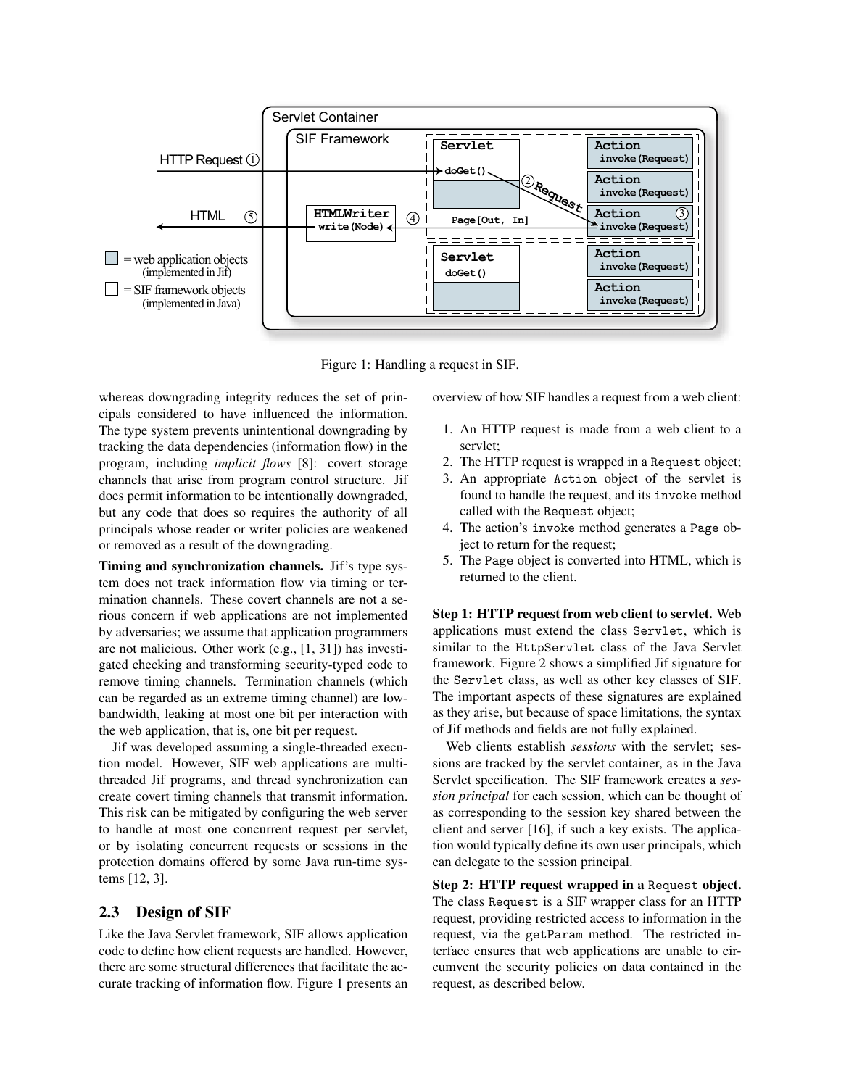

Figure 1: Handling a request in SIF.

whereas downgrading integrity reduces the set of principals considered to have influenced the information. The type system prevents unintentional downgrading by tracking the data dependencies (information flow) in the program, including *implicit flows* [8]: covert storage channels that arise from program control structure. Jif does permit information to be intentionally downgraded, but any code that does so requires the authority of all principals whose reader or writer policies are weakened or removed as a result of the downgrading.

Timing and synchronization channels. Jif's type system does not track information flow via timing or termination channels. These covert channels are not a serious concern if web applications are not implemented by adversaries; we assume that application programmers are not malicious. Other work (e.g., [1, 31]) has investigated checking and transforming security-typed code to remove timing channels. Termination channels (which can be regarded as an extreme timing channel) are lowbandwidth, leaking at most one bit per interaction with the web application, that is, one bit per request.

Jif was developed assuming a single-threaded execution model. However, SIF web applications are multithreaded Jif programs, and thread synchronization can create covert timing channels that transmit information. This risk can be mitigated by configuring the web server to handle at most one concurrent request per servlet, or by isolating concurrent requests or sessions in the protection domains offered by some Java run-time systems [12, 3].

# 2.3 Design of SIF

Like the Java Servlet framework, SIF allows application code to define how client requests are handled. However, there are some structural differences that facilitate the accurate tracking of information flow. Figure 1 presents an overview of how SIF handles a request from a web client:

- 1. An HTTP request is made from a web client to a servlet;
- 2. The HTTP request is wrapped in a Request object;
- 3. An appropriate Action object of the servlet is found to handle the request, and its invoke method called with the Request object;
- 4. The action's invoke method generates a Page object to return for the request;
- 5. The Page object is converted into HTML, which is returned to the client.

Step 1: HTTP request from web client to servlet. Web applications must extend the class Servlet, which is similar to the HttpServlet class of the Java Servlet framework. Figure 2 shows a simplified Jif signature for the Servlet class, as well as other key classes of SIF. The important aspects of these signatures are explained as they arise, but because of space limitations, the syntax of Jif methods and fields are not fully explained.

Web clients establish *sessions* with the servlet; sessions are tracked by the servlet container, as in the Java Servlet specification. The SIF framework creates a *session principal* for each session, which can be thought of as corresponding to the session key shared between the client and server [16], if such a key exists. The application would typically define its own user principals, which can delegate to the session principal.

Step 2: HTTP request wrapped in a Request object. The class Request is a SIF wrapper class for an HTTP request, providing restricted access to information in the request, via the getParam method. The restricted interface ensures that web applications are unable to circumvent the security policies on data contained in the request, as described below.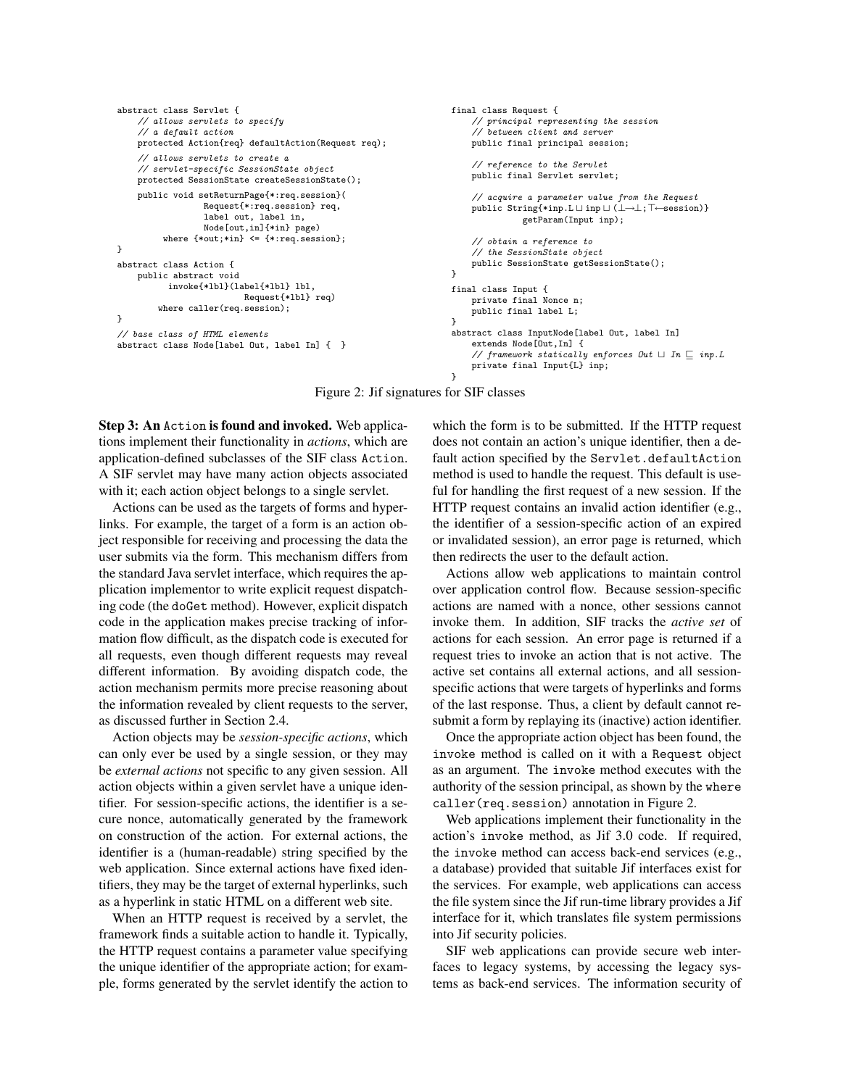```
abstract class Servlet {
    // allows servlets to specify
    // a default action
    protected Action{req} defaultAction(Request req);
    // allows servlets to create a
    // servlet-specific SessionState object
    protected SessionState createSessionState();
    public void setReturnPage{*:req.session}(
                 Request{*:req.session} req,
                 label out, label in,
                 Node[out,in]{*in} page)
         where {*out;*in} <= {*:req.session};
}
abstract class Action {
   public abstract void
          invoke{*lbl}(label{*lbl} lbl,
                         Request{*lbl} req)
        where caller(req.session);
}
// base class of HTML elements
abstract class Node[label Out, label In] { }
                                                                     final class Request {
                                                                          // principal representing the session
                                                                         // between client and server
                                                                         public final principal session;
                                                                         // reference to the Servlet
                                                                         public final Servlet servlet;
                                                                         // acquire a parameter value from the Request
                                                                         public String{*inp.L \sqcup inp \sqcup (\bot \rightarrow \bot; T←session)}
                                                                                    getParam(Input inp);
                                                                         // obtain a reference to
                                                                         // the SessionState object
                                                                         public SessionState getSessionState();
                                                                     \mathbf{r}final class Input {
                                                                        private final Nonce n;
                                                                         public final label L;
                                                                      }
abstract class InputNode[label Out, label In]
                                                                         extends Node[Out,In] {
                                                                         // framework statically enforces Out \sqcup In \sqsubseteq inp.L
                                                                         private final Input{L} inp;
```

```
Figure 2: Jif signatures for SIF classes
```
}

Step 3: An Action is found and invoked. Web applications implement their functionality in *actions*, which are application-defined subclasses of the SIF class Action. A SIF servlet may have many action objects associated with it; each action object belongs to a single servlet.

Actions can be used as the targets of forms and hyperlinks. For example, the target of a form is an action object responsible for receiving and processing the data the user submits via the form. This mechanism differs from the standard Java servlet interface, which requires the application implementor to write explicit request dispatching code (the doGet method). However, explicit dispatch code in the application makes precise tracking of information flow difficult, as the dispatch code is executed for all requests, even though different requests may reveal different information. By avoiding dispatch code, the action mechanism permits more precise reasoning about the information revealed by client requests to the server, as discussed further in Section 2.4.

Action objects may be *session-specific actions*, which can only ever be used by a single session, or they may be *external actions* not specific to any given session. All action objects within a given servlet have a unique identifier. For session-specific actions, the identifier is a secure nonce, automatically generated by the framework on construction of the action. For external actions, the identifier is a (human-readable) string specified by the web application. Since external actions have fixed identifiers, they may be the target of external hyperlinks, such as a hyperlink in static HTML on a different web site.

When an HTTP request is received by a servlet, the framework finds a suitable action to handle it. Typically, the HTTP request contains a parameter value specifying the unique identifier of the appropriate action; for example, forms generated by the servlet identify the action to which the form is to be submitted. If the HTTP request does not contain an action's unique identifier, then a default action specified by the Servlet.defaultAction method is used to handle the request. This default is useful for handling the first request of a new session. If the HTTP request contains an invalid action identifier (e.g., the identifier of a session-specific action of an expired or invalidated session), an error page is returned, which then redirects the user to the default action.

Actions allow web applications to maintain control over application control flow. Because session-specific actions are named with a nonce, other sessions cannot invoke them. In addition, SIF tracks the *active set* of actions for each session. An error page is returned if a request tries to invoke an action that is not active. The active set contains all external actions, and all sessionspecific actions that were targets of hyperlinks and forms of the last response. Thus, a client by default cannot resubmit a form by replaying its (inactive) action identifier.

Once the appropriate action object has been found, the invoke method is called on it with a Request object as an argument. The invoke method executes with the authority of the session principal, as shown by the where caller(req.session) annotation in Figure 2.

Web applications implement their functionality in the action's invoke method, as Jif 3.0 code. If required, the invoke method can access back-end services (e.g., a database) provided that suitable Jif interfaces exist for the services. For example, web applications can access the file system since the Jif run-time library provides a Jif interface for it, which translates file system permissions into Jif security policies.

SIF web applications can provide secure web interfaces to legacy systems, by accessing the legacy systems as back-end services. The information security of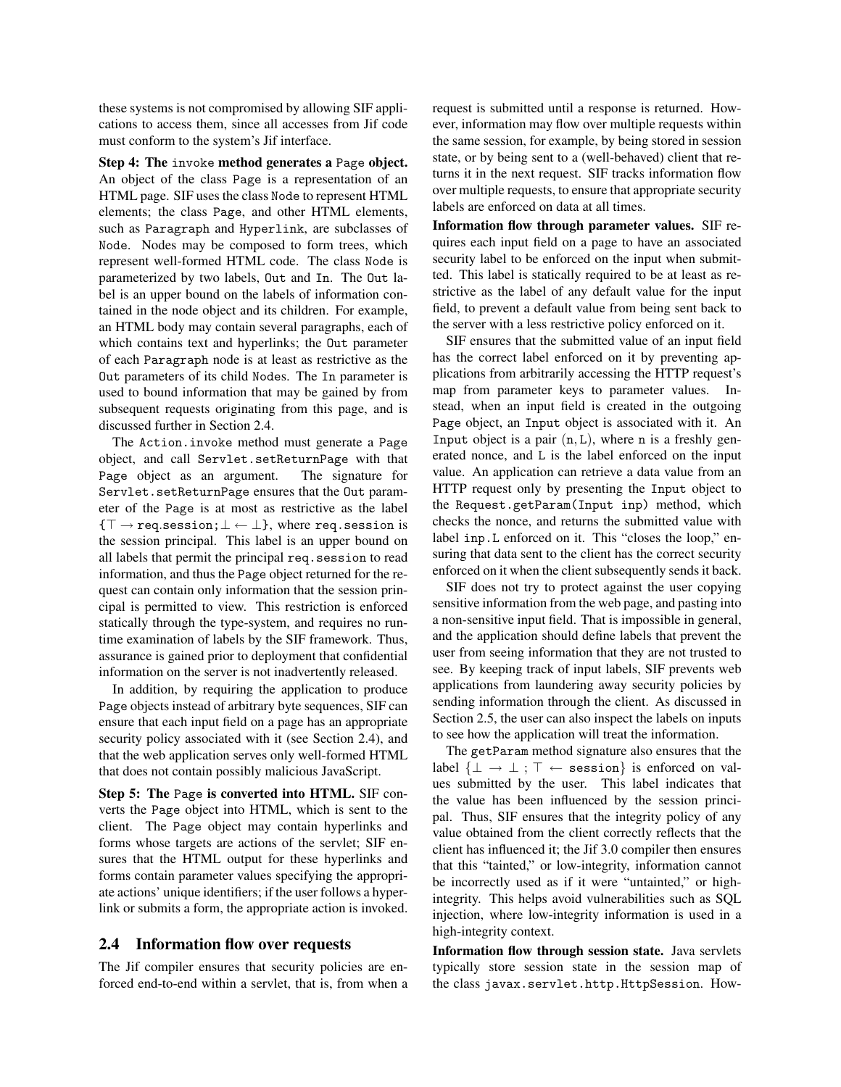these systems is not compromised by allowing SIF applications to access them, since all accesses from Jif code must conform to the system's Jif interface.

Step 4: The invoke method generates a Page object. An object of the class Page is a representation of an HTML page. SIF uses the class Node to represent HTML elements; the class Page, and other HTML elements, such as Paragraph and Hyperlink, are subclasses of Node. Nodes may be composed to form trees, which represent well-formed HTML code. The class Node is parameterized by two labels, Out and In. The Out label is an upper bound on the labels of information contained in the node object and its children. For example, an HTML body may contain several paragraphs, each of which contains text and hyperlinks; the Out parameter of each Paragraph node is at least as restrictive as the Out parameters of its child Nodes. The In parameter is used to bound information that may be gained by from subsequent requests originating from this page, and is discussed further in Section 2.4.

The Action.invoke method must generate a Page object, and call Servlet.setReturnPage with that Page object as an argument. The signature for Servlet.setReturnPage ensures that the Out parameter of the Page is at most as restrictive as the label  ${\{\top \rightarrow \text{req.} \text{session}\}}$   ${\bot \leftarrow \bot}$ , where req. session is the session principal. This label is an upper bound on all labels that permit the principal req.session to read information, and thus the Page object returned for the request can contain only information that the session principal is permitted to view. This restriction is enforced statically through the type-system, and requires no runtime examination of labels by the SIF framework. Thus, assurance is gained prior to deployment that confidential information on the server is not inadvertently released.

In addition, by requiring the application to produce Page objects instead of arbitrary byte sequences, SIF can ensure that each input field on a page has an appropriate security policy associated with it (see Section 2.4), and that the web application serves only well-formed HTML that does not contain possibly malicious JavaScript.

Step 5: The Page is converted into HTML. SIF converts the Page object into HTML, which is sent to the client. The Page object may contain hyperlinks and forms whose targets are actions of the servlet; SIF ensures that the HTML output for these hyperlinks and forms contain parameter values specifying the appropriate actions' unique identifiers; if the user follows a hyperlink or submits a form, the appropriate action is invoked.

# 2.4 Information flow over requests

The Jif compiler ensures that security policies are enforced end-to-end within a servlet, that is, from when a request is submitted until a response is returned. However, information may flow over multiple requests within the same session, for example, by being stored in session state, or by being sent to a (well-behaved) client that returns it in the next request. SIF tracks information flow over multiple requests, to ensure that appropriate security labels are enforced on data at all times.

Information flow through parameter values. SIF requires each input field on a page to have an associated security label to be enforced on the input when submitted. This label is statically required to be at least as restrictive as the label of any default value for the input field, to prevent a default value from being sent back to the server with a less restrictive policy enforced on it.

SIF ensures that the submitted value of an input field has the correct label enforced on it by preventing applications from arbitrarily accessing the HTTP request's map from parameter keys to parameter values. Instead, when an input field is created in the outgoing Page object, an Input object is associated with it. An Input object is a pair  $(n, L)$ , where n is a freshly generated nonce, and L is the label enforced on the input value. An application can retrieve a data value from an HTTP request only by presenting the Input object to the Request.getParam(Input inp) method, which checks the nonce, and returns the submitted value with label inp.L enforced on it. This "closes the loop," ensuring that data sent to the client has the correct security enforced on it when the client subsequently sends it back.

SIF does not try to protect against the user copying sensitive information from the web page, and pasting into a non-sensitive input field. That is impossible in general, and the application should define labels that prevent the user from seeing information that they are not trusted to see. By keeping track of input labels, SIF prevents web applications from laundering away security policies by sending information through the client. As discussed in Section 2.5, the user can also inspect the labels on inputs to see how the application will treat the information.

The getParam method signature also ensures that the label  $\{\bot \rightarrow \bot; \top \leftarrow$  session} is enforced on values submitted by the user. This label indicates that the value has been influenced by the session principal. Thus, SIF ensures that the integrity policy of any value obtained from the client correctly reflects that the client has influenced it; the Jif 3.0 compiler then ensures that this "tainted," or low-integrity, information cannot be incorrectly used as if it were "untainted," or highintegrity. This helps avoid vulnerabilities such as SQL injection, where low-integrity information is used in a high-integrity context.

Information flow through session state. Java servlets typically store session state in the session map of the class javax.servlet.http.HttpSession. How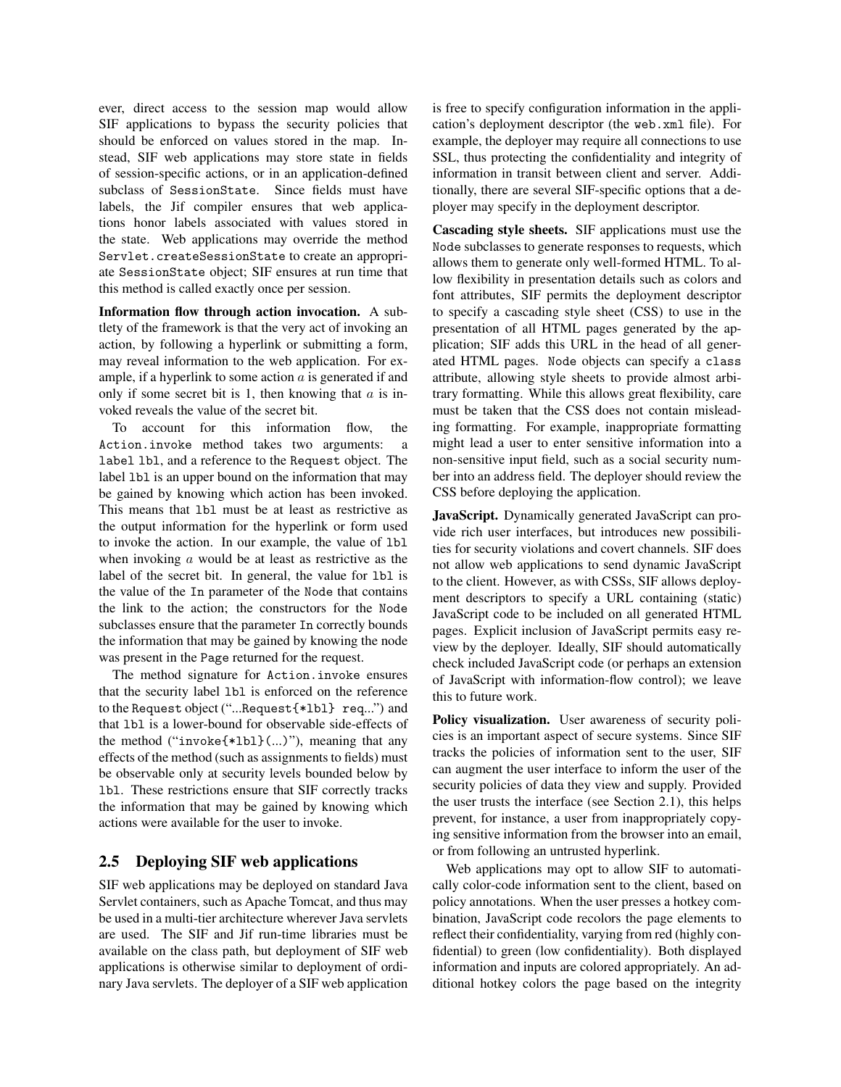ever, direct access to the session map would allow SIF applications to bypass the security policies that should be enforced on values stored in the map. Instead, SIF web applications may store state in fields of session-specific actions, or in an application-defined subclass of SessionState. Since fields must have labels, the Jif compiler ensures that web applications honor labels associated with values stored in the state. Web applications may override the method Servlet.createSessionState to create an appropriate SessionState object; SIF ensures at run time that this method is called exactly once per session.

Information flow through action invocation. A subtlety of the framework is that the very act of invoking an action, by following a hyperlink or submitting a form, may reveal information to the web application. For example, if a hyperlink to some action  $a$  is generated if and only if some secret bit is 1, then knowing that  $\alpha$  is invoked reveals the value of the secret bit.

To account for this information flow, the Action.invoke method takes two arguments: a label lbl, and a reference to the Request object. The label 1b1 is an upper bound on the information that may be gained by knowing which action has been invoked. This means that lbl must be at least as restrictive as the output information for the hyperlink or form used to invoke the action. In our example, the value of lbl when invoking a would be at least as restrictive as the label of the secret bit. In general, the value for lbl is the value of the In parameter of the Node that contains the link to the action; the constructors for the Node subclasses ensure that the parameter In correctly bounds the information that may be gained by knowing the node was present in the Page returned for the request.

The method signature for Action.invoke ensures that the security label lbl is enforced on the reference to the Request object ("...Request{\*lbl} req...") and that lbl is a lower-bound for observable side-effects of the method ("invoke{\*lbl}(...)"), meaning that any effects of the method (such as assignments to fields) must be observable only at security levels bounded below by lbl. These restrictions ensure that SIF correctly tracks the information that may be gained by knowing which actions were available for the user to invoke.

# 2.5 Deploying SIF web applications

SIF web applications may be deployed on standard Java Servlet containers, such as Apache Tomcat, and thus may be used in a multi-tier architecture wherever Java servlets are used. The SIF and Jif run-time libraries must be available on the class path, but deployment of SIF web applications is otherwise similar to deployment of ordinary Java servlets. The deployer of a SIF web application is free to specify configuration information in the application's deployment descriptor (the web.xml file). For example, the deployer may require all connections to use SSL, thus protecting the confidentiality and integrity of information in transit between client and server. Additionally, there are several SIF-specific options that a deployer may specify in the deployment descriptor.

Cascading style sheets. SIF applications must use the Node subclasses to generate responses to requests, which allows them to generate only well-formed HTML. To allow flexibility in presentation details such as colors and font attributes, SIF permits the deployment descriptor to specify a cascading style sheet (CSS) to use in the presentation of all HTML pages generated by the application; SIF adds this URL in the head of all generated HTML pages. Node objects can specify a class attribute, allowing style sheets to provide almost arbitrary formatting. While this allows great flexibility, care must be taken that the CSS does not contain misleading formatting. For example, inappropriate formatting might lead a user to enter sensitive information into a non-sensitive input field, such as a social security number into an address field. The deployer should review the CSS before deploying the application.

JavaScript. Dynamically generated JavaScript can provide rich user interfaces, but introduces new possibilities for security violations and covert channels. SIF does not allow web applications to send dynamic JavaScript to the client. However, as with CSSs, SIF allows deployment descriptors to specify a URL containing (static) JavaScript code to be included on all generated HTML pages. Explicit inclusion of JavaScript permits easy review by the deployer. Ideally, SIF should automatically check included JavaScript code (or perhaps an extension of JavaScript with information-flow control); we leave this to future work.

Policy visualization. User awareness of security policies is an important aspect of secure systems. Since SIF tracks the policies of information sent to the user, SIF can augment the user interface to inform the user of the security policies of data they view and supply. Provided the user trusts the interface (see Section 2.1), this helps prevent, for instance, a user from inappropriately copying sensitive information from the browser into an email, or from following an untrusted hyperlink.

Web applications may opt to allow SIF to automatically color-code information sent to the client, based on policy annotations. When the user presses a hotkey combination, JavaScript code recolors the page elements to reflect their confidentiality, varying from red (highly confidential) to green (low confidentiality). Both displayed information and inputs are colored appropriately. An additional hotkey colors the page based on the integrity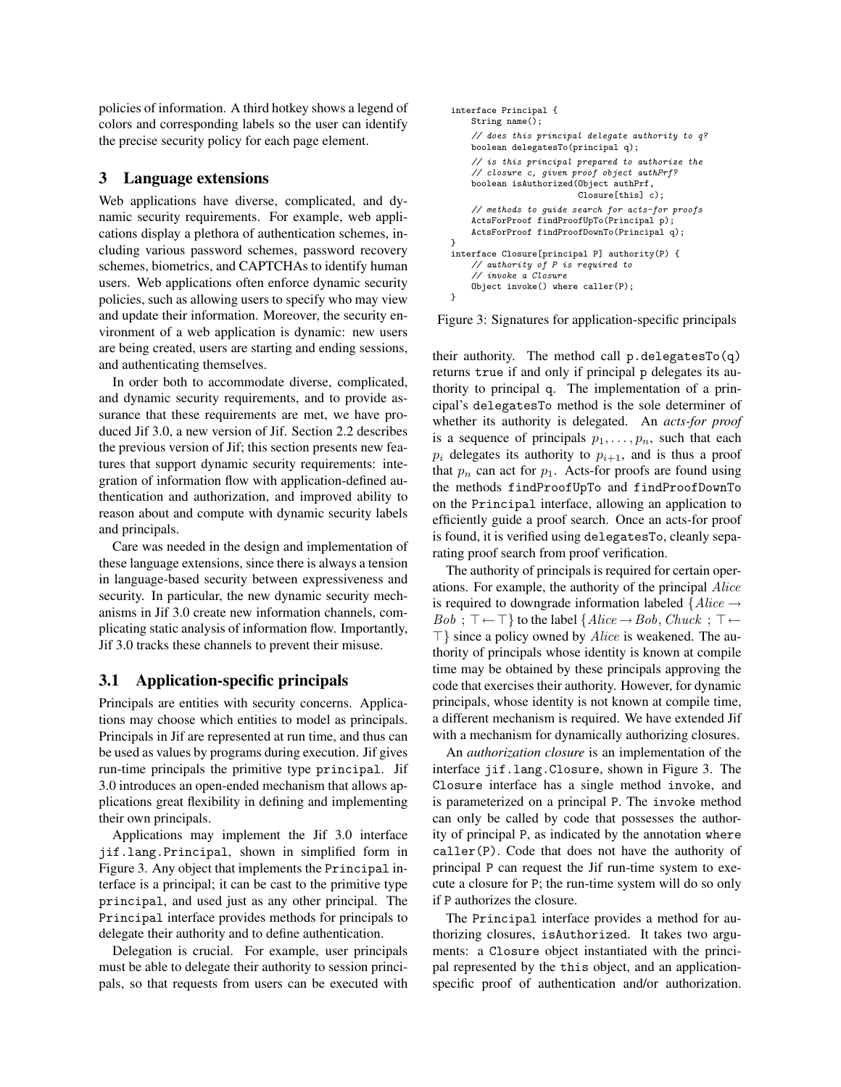policies of information. A third hotkey shows a legend of colors and corresponding labels so the user can identify the precise security policy for each page element.

## 3 Language extensions

Web applications have diverse, complicated, and dynamic security requirements. For example, web applications display a plethora of authentication schemes, including various password schemes, password recovery schemes, biometrics, and CAPTCHAs to identify human users. Web applications often enforce dynamic security policies, such as allowing users to specify who may view and update their information. Moreover, the security environment of a web application is dynamic: new users are being created, users are starting and ending sessions, and authenticating themselves.

In order both to accommodate diverse, complicated, and dynamic security requirements, and to provide assurance that these requirements are met, we have produced Jif 3.0, a new version of Jif. Section 2.2 describes the previous version of Jif; this section presents new features that support dynamic security requirements: integration of information flow with application-defined authentication and authorization, and improved ability to reason about and compute with dynamic security labels and principals.

Care was needed in the design and implementation of these language extensions, since there is always a tension in language-based security between expressiveness and security. In particular, the new dynamic security mechanisms in Jif 3.0 create new information channels, complicating static analysis of information flow. Importantly, Jif 3.0 tracks these channels to prevent their misuse.

#### 3.1 Application-specific principals

Principals are entities with security concerns. Applications may choose which entities to model as principals. Principals in Jif are represented at run time, and thus can be used as values by programs during execution. Jif gives run-time principals the primitive type principal. Jif 3.0 introduces an open-ended mechanism that allows applications great flexibility in defining and implementing their own principals.

Applications may implement the Jif 3.0 interface jif.lang.Principal, shown in simplified form in Figure 3. Any object that implements the Principal interface is a principal; it can be cast to the primitive type principal, and used just as any other principal. The Principal interface provides methods for principals to delegate their authority and to define authentication.

Delegation is crucial. For example, user principals must be able to delegate their authority to session principals, so that requests from users can be executed with

```
interface Principal {
   String name();
    // does this principal delegate authority to q?
   boolean delegatesTo(principal q);
    // is this principal prepared to authorize the
    // closure c, given proof object authPrf?
    boolean isAuthorized(Object authPrf,
                         Closure[this] c);
    // methods to guide search for acts-for proofs
    ActsForProof findProofUpTo(Principal p);
    ActsForProof findProofDownTo(Principal q);
}
interface Closure[principal P] authority(P) {
    // authority of P is required to
    // invoke a Closure
    Object invoke() where caller(P);
}
```
Figure 3: Signatures for application-specific principals

their authority. The method call p.delegatesTo(q) returns true if and only if principal p delegates its authority to principal q. The implementation of a principal's delegatesTo method is the sole determiner of whether its authority is delegated. An *acts-for proof* is a sequence of principals  $p_1, \ldots, p_n$ , such that each  $p_i$  delegates its authority to  $p_{i+1}$ , and is thus a proof that  $p_n$  can act for  $p_1$ . Acts-for proofs are found using the methods findProofUpTo and findProofDownTo on the Principal interface, allowing an application to efficiently guide a proof search. Once an acts-for proof is found, it is verified using delegatesTo, cleanly separating proof search from proof verification.

The authority of principals is required for certain operations. For example, the authority of the principal Alice is required to downgrade information labeled  $\{Alice \rightarrow$  $Bob : \top \leftarrow \top$  to the label  $\{Alice \rightarrow Bob, Chuck : \top \leftarrow \top\}$  $\top$ } since a policy owned by *Alice* is weakened. The authority of principals whose identity is known at compile time may be obtained by these principals approving the code that exercises their authority. However, for dynamic principals, whose identity is not known at compile time, a different mechanism is required. We have extended Jif with a mechanism for dynamically authorizing closures.

An *authorization closure* is an implementation of the interface jif.lang.Closure, shown in Figure 3. The Closure interface has a single method invoke, and is parameterized on a principal P. The invoke method can only be called by code that possesses the authority of principal P, as indicated by the annotation where caller(P). Code that does not have the authority of principal P can request the Jif run-time system to execute a closure for P; the run-time system will do so only if P authorizes the closure.

The Principal interface provides a method for authorizing closures, isAuthorized. It takes two arguments: a Closure object instantiated with the principal represented by the this object, and an applicationspecific proof of authentication and/or authorization.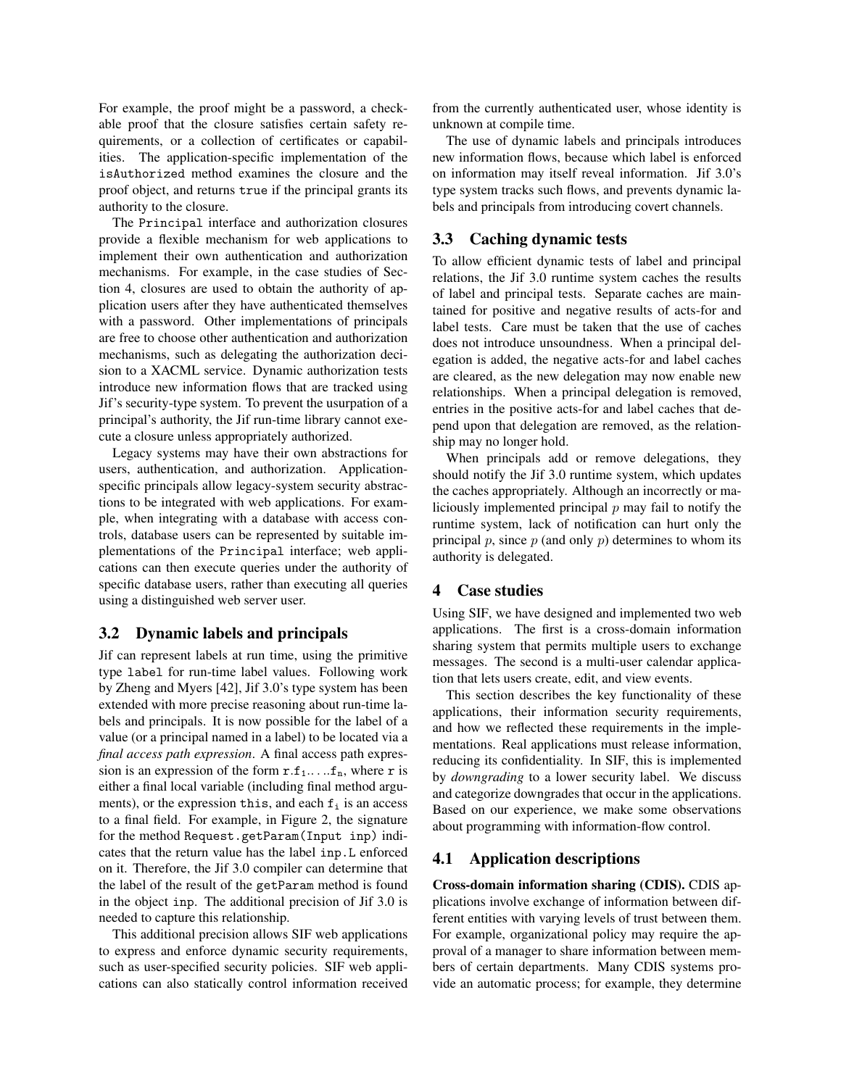For example, the proof might be a password, a checkable proof that the closure satisfies certain safety requirements, or a collection of certificates or capabilities. The application-specific implementation of the isAuthorized method examines the closure and the proof object, and returns true if the principal grants its authority to the closure.

The Principal interface and authorization closures provide a flexible mechanism for web applications to implement their own authentication and authorization mechanisms. For example, in the case studies of Section 4, closures are used to obtain the authority of application users after they have authenticated themselves with a password. Other implementations of principals are free to choose other authentication and authorization mechanisms, such as delegating the authorization decision to a XACML service. Dynamic authorization tests introduce new information flows that are tracked using Jif's security-type system. To prevent the usurpation of a principal's authority, the Jif run-time library cannot execute a closure unless appropriately authorized.

Legacy systems may have their own abstractions for users, authentication, and authorization. Applicationspecific principals allow legacy-system security abstractions to be integrated with web applications. For example, when integrating with a database with access controls, database users can be represented by suitable implementations of the Principal interface; web applications can then execute queries under the authority of specific database users, rather than executing all queries using a distinguished web server user.

### 3.2 Dynamic labels and principals

Jif can represent labels at run time, using the primitive type label for run-time label values. Following work by Zheng and Myers [42], Jif 3.0's type system has been extended with more precise reasoning about run-time labels and principals. It is now possible for the label of a value (or a principal named in a label) to be located via a *final access path expression*. A final access path expression is an expression of the form  $r.f_1$ ..... $f_n$ , where r is either a final local variable (including final method arguments), or the expression this, and each  $f_i$  is an access to a final field. For example, in Figure 2, the signature for the method Request.getParam(Input inp) indicates that the return value has the label inp.L enforced on it. Therefore, the Jif 3.0 compiler can determine that the label of the result of the getParam method is found in the object inp. The additional precision of Jif 3.0 is needed to capture this relationship.

This additional precision allows SIF web applications to express and enforce dynamic security requirements, such as user-specified security policies. SIF web applications can also statically control information received from the currently authenticated user, whose identity is unknown at compile time.

The use of dynamic labels and principals introduces new information flows, because which label is enforced on information may itself reveal information. Jif 3.0's type system tracks such flows, and prevents dynamic labels and principals from introducing covert channels.

# 3.3 Caching dynamic tests

To allow efficient dynamic tests of label and principal relations, the Jif 3.0 runtime system caches the results of label and principal tests. Separate caches are maintained for positive and negative results of acts-for and label tests. Care must be taken that the use of caches does not introduce unsoundness. When a principal delegation is added, the negative acts-for and label caches are cleared, as the new delegation may now enable new relationships. When a principal delegation is removed, entries in the positive acts-for and label caches that depend upon that delegation are removed, as the relationship may no longer hold.

When principals add or remove delegations, they should notify the Jif 3.0 runtime system, which updates the caches appropriately. Although an incorrectly or maliciously implemented principal  $p$  may fail to notify the runtime system, lack of notification can hurt only the principal  $p$ , since  $p$  (and only  $p$ ) determines to whom its authority is delegated.

#### 4 Case studies

Using SIF, we have designed and implemented two web applications. The first is a cross-domain information sharing system that permits multiple users to exchange messages. The second is a multi-user calendar application that lets users create, edit, and view events.

This section describes the key functionality of these applications, their information security requirements, and how we reflected these requirements in the implementations. Real applications must release information, reducing its confidentiality. In SIF, this is implemented by *downgrading* to a lower security label. We discuss and categorize downgrades that occur in the applications. Based on our experience, we make some observations about programming with information-flow control.

# 4.1 Application descriptions

Cross-domain information sharing (CDIS). CDIS applications involve exchange of information between different entities with varying levels of trust between them. For example, organizational policy may require the approval of a manager to share information between members of certain departments. Many CDIS systems provide an automatic process; for example, they determine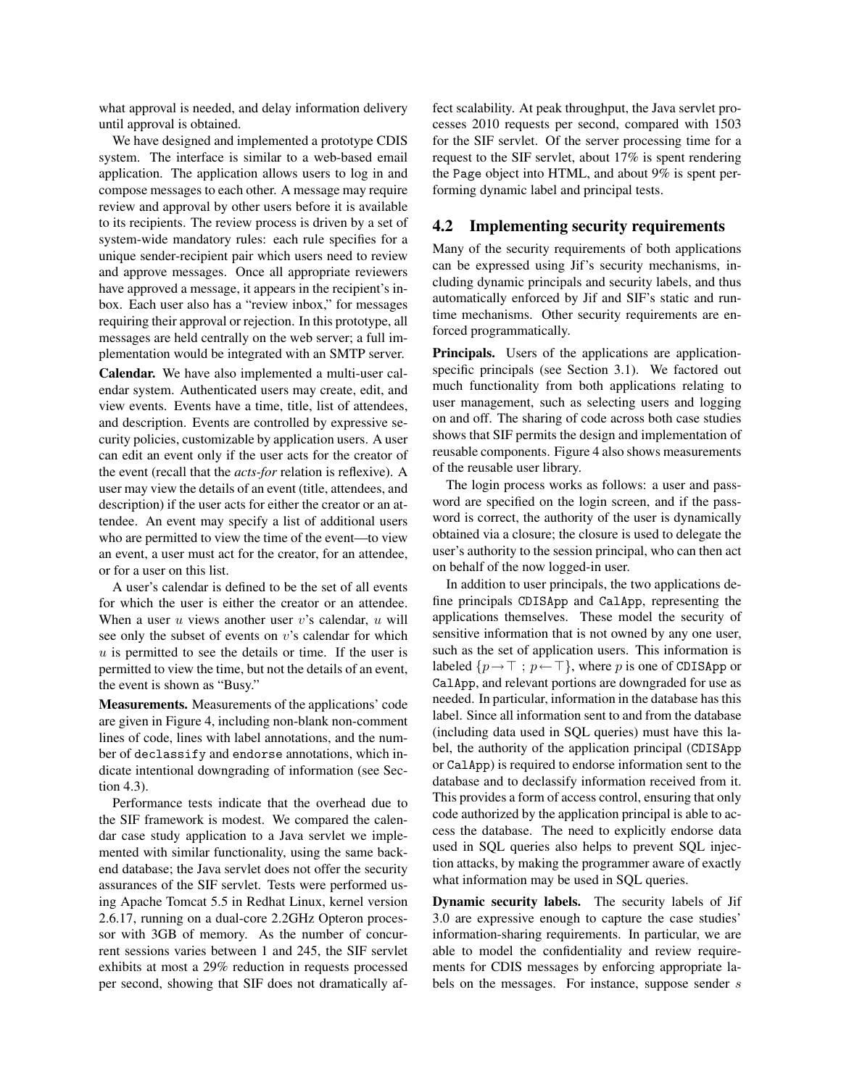what approval is needed, and delay information delivery until approval is obtained.

We have designed and implemented a prototype CDIS system. The interface is similar to a web-based email application. The application allows users to log in and compose messages to each other. A message may require review and approval by other users before it is available to its recipients. The review process is driven by a set of system-wide mandatory rules: each rule specifies for a unique sender-recipient pair which users need to review and approve messages. Once all appropriate reviewers have approved a message, it appears in the recipient's inbox. Each user also has a "review inbox," for messages requiring their approval or rejection. In this prototype, all messages are held centrally on the web server; a full implementation would be integrated with an SMTP server.

Calendar. We have also implemented a multi-user calendar system. Authenticated users may create, edit, and view events. Events have a time, title, list of attendees, and description. Events are controlled by expressive security policies, customizable by application users. A user can edit an event only if the user acts for the creator of the event (recall that the *acts-for* relation is reflexive). A user may view the details of an event (title, attendees, and description) if the user acts for either the creator or an attendee. An event may specify a list of additional users who are permitted to view the time of the event—to view an event, a user must act for the creator, for an attendee, or for a user on this list.

A user's calendar is defined to be the set of all events for which the user is either the creator or an attendee. When a user  $u$  views another user  $v$ 's calendar,  $u$  will see only the subset of events on  $v$ 's calendar for which  $u$  is permitted to see the details or time. If the user is permitted to view the time, but not the details of an event, the event is shown as "Busy."

Measurements. Measurements of the applications' code are given in Figure 4, including non-blank non-comment lines of code, lines with label annotations, and the number of declassify and endorse annotations, which indicate intentional downgrading of information (see Section 4.3).

Performance tests indicate that the overhead due to the SIF framework is modest. We compared the calendar case study application to a Java servlet we implemented with similar functionality, using the same backend database; the Java servlet does not offer the security assurances of the SIF servlet. Tests were performed using Apache Tomcat 5.5 in Redhat Linux, kernel version 2.6.17, running on a dual-core 2.2GHz Opteron processor with 3GB of memory. As the number of concurrent sessions varies between 1 and 245, the SIF servlet exhibits at most a 29% reduction in requests processed per second, showing that SIF does not dramatically affect scalability. At peak throughput, the Java servlet processes 2010 requests per second, compared with 1503 for the SIF servlet. Of the server processing time for a request to the SIF servlet, about 17% is spent rendering the Page object into HTML, and about 9% is spent performing dynamic label and principal tests.

# 4.2 Implementing security requirements

Many of the security requirements of both applications can be expressed using Jif's security mechanisms, including dynamic principals and security labels, and thus automatically enforced by Jif and SIF's static and runtime mechanisms. Other security requirements are enforced programmatically.

Principals. Users of the applications are applicationspecific principals (see Section 3.1). We factored out much functionality from both applications relating to user management, such as selecting users and logging on and off. The sharing of code across both case studies shows that SIF permits the design and implementation of reusable components. Figure 4 also shows measurements of the reusable user library.

The login process works as follows: a user and password are specified on the login screen, and if the password is correct, the authority of the user is dynamically obtained via a closure; the closure is used to delegate the user's authority to the session principal, who can then act on behalf of the now logged-in user.

In addition to user principals, the two applications define principals CDISApp and CalApp, representing the applications themselves. These model the security of sensitive information that is not owned by any one user, such as the set of application users. This information is labeled  $\{p \rightarrow \top; p \leftarrow \top\}$ , where p is one of CDISApp or CalApp, and relevant portions are downgraded for use as needed. In particular, information in the database has this label. Since all information sent to and from the database (including data used in SQL queries) must have this label, the authority of the application principal (CDISApp or CalApp) is required to endorse information sent to the database and to declassify information received from it. This provides a form of access control, ensuring that only code authorized by the application principal is able to access the database. The need to explicitly endorse data used in SQL queries also helps to prevent SQL injection attacks, by making the programmer aware of exactly what information may be used in SQL queries.

Dynamic security labels. The security labels of Jif 3.0 are expressive enough to capture the case studies' information-sharing requirements. In particular, we are able to model the confidentiality and review requirements for CDIS messages by enforcing appropriate labels on the messages. For instance, suppose sender s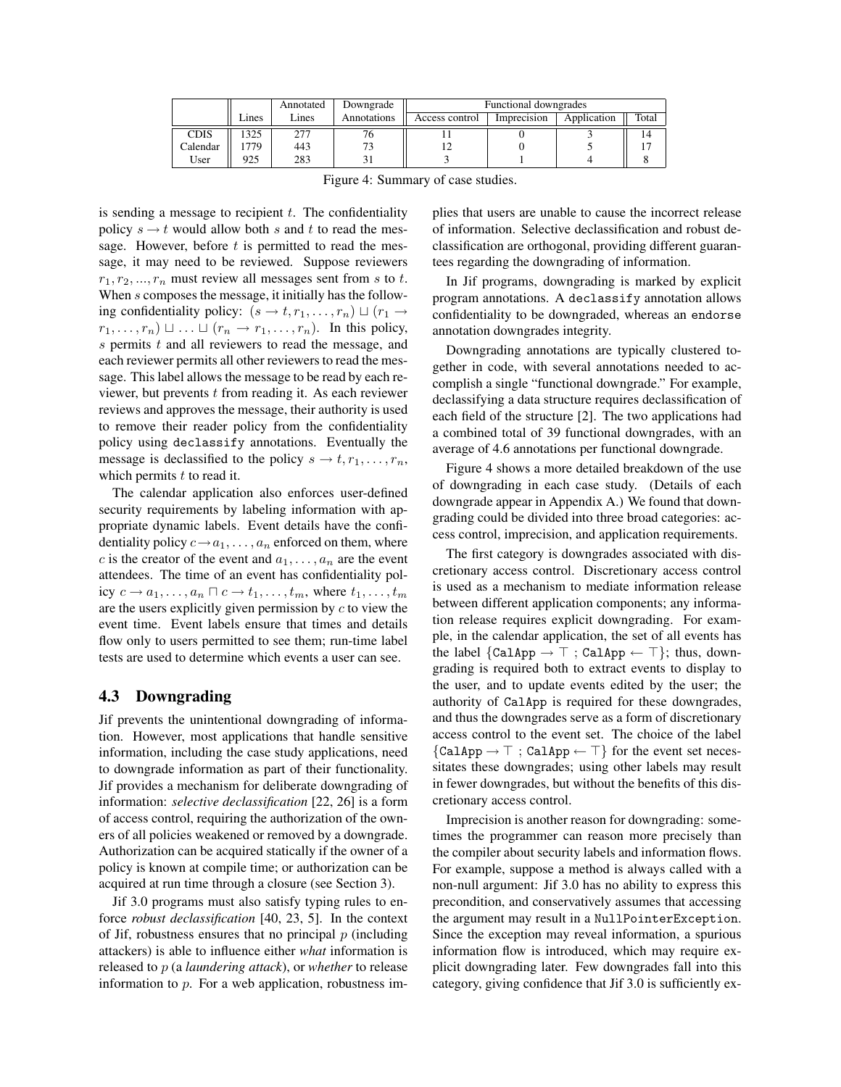|             |       | Annotated | Downgrade   | Functional downgrades |             |             |       |
|-------------|-------|-----------|-------------|-----------------------|-------------|-------------|-------|
|             | Lines | Lines     | Annotations | Access control        | Imprecision | Application | Total |
| <b>CDIS</b> | 325   | 277       | 70          |                       |             |             | 14    |
| Calendar    | 779   | 443       |             |                       |             |             |       |
| User        | 925   | 283       |             |                       |             |             |       |

Figure 4: Summary of case studies.

is sending a message to recipient  $t$ . The confidentiality policy  $s \rightarrow t$  would allow both s and t to read the message. However, before  $t$  is permitted to read the message, it may need to be reviewed. Suppose reviewers  $r_1, r_2, \ldots, r_n$  must review all messages sent from s to t. When s composes the message, it initially has the following confidentiality policy:  $(s \rightarrow t, r_1, \ldots, r_n) \sqcup (r_1 \rightarrow$  $r_1, \ldots, r_n) \sqcup \ldots \sqcup (r_n \rightarrow r_1, \ldots, r_n)$ . In this policy,  $s$  permits  $t$  and all reviewers to read the message, and each reviewer permits all other reviewers to read the message. This label allows the message to be read by each reviewer, but prevents  $t$  from reading it. As each reviewer reviews and approves the message, their authority is used to remove their reader policy from the confidentiality policy using declassify annotations. Eventually the message is declassified to the policy  $s \to t, r_1, \ldots, r_n$ , which permits  $t$  to read it.

The calendar application also enforces user-defined security requirements by labeling information with appropriate dynamic labels. Event details have the confidentiality policy  $c \rightarrow a_1, \ldots, a_n$  enforced on them, where c is the creator of the event and  $a_1, \ldots, a_n$  are the event attendees. The time of an event has confidentiality policy  $c \to a_1, \ldots, a_n \sqcap c \to t_1, \ldots, t_m$ , where  $t_1, \ldots, t_m$ are the users explicitly given permission by  $c$  to view the event time. Event labels ensure that times and details flow only to users permitted to see them; run-time label tests are used to determine which events a user can see.

#### 4.3 Downgrading

Jif prevents the unintentional downgrading of information. However, most applications that handle sensitive information, including the case study applications, need to downgrade information as part of their functionality. Jif provides a mechanism for deliberate downgrading of information: *selective declassification* [22, 26] is a form of access control, requiring the authorization of the owners of all policies weakened or removed by a downgrade. Authorization can be acquired statically if the owner of a policy is known at compile time; or authorization can be acquired at run time through a closure (see Section 3).

Jif 3.0 programs must also satisfy typing rules to enforce *robust declassification* [40, 23, 5]. In the context of Jif, robustness ensures that no principal  $p$  (including attackers) is able to influence either *what* information is released to p (a *laundering attack*), or *whether* to release information to p. For a web application, robustness implies that users are unable to cause the incorrect release of information. Selective declassification and robust declassification are orthogonal, providing different guarantees regarding the downgrading of information.

In Jif programs, downgrading is marked by explicit program annotations. A declassify annotation allows confidentiality to be downgraded, whereas an endorse annotation downgrades integrity.

Downgrading annotations are typically clustered together in code, with several annotations needed to accomplish a single "functional downgrade." For example, declassifying a data structure requires declassification of each field of the structure [2]. The two applications had a combined total of 39 functional downgrades, with an average of 4.6 annotations per functional downgrade.

Figure 4 shows a more detailed breakdown of the use of downgrading in each case study. (Details of each downgrade appear in Appendix A.) We found that downgrading could be divided into three broad categories: access control, imprecision, and application requirements.

The first category is downgrades associated with discretionary access control. Discretionary access control is used as a mechanism to mediate information release between different application components; any information release requires explicit downgrading. For example, in the calendar application, the set of all events has the label  $\{CalApp \rightarrow \top; CalApp \leftarrow \top\};$  thus, downgrading is required both to extract events to display to the user, and to update events edited by the user; the authority of CalApp is required for these downgrades, and thus the downgrades serve as a form of discretionary access control to the event set. The choice of the label  ${CalApp \rightarrow \top ; CalApp \leftarrow \top}$  for the event set necessitates these downgrades; using other labels may result in fewer downgrades, but without the benefits of this discretionary access control.

Imprecision is another reason for downgrading: sometimes the programmer can reason more precisely than the compiler about security labels and information flows. For example, suppose a method is always called with a non-null argument: Jif 3.0 has no ability to express this precondition, and conservatively assumes that accessing the argument may result in a NullPointerException. Since the exception may reveal information, a spurious information flow is introduced, which may require explicit downgrading later. Few downgrades fall into this category, giving confidence that Jif 3.0 is sufficiently ex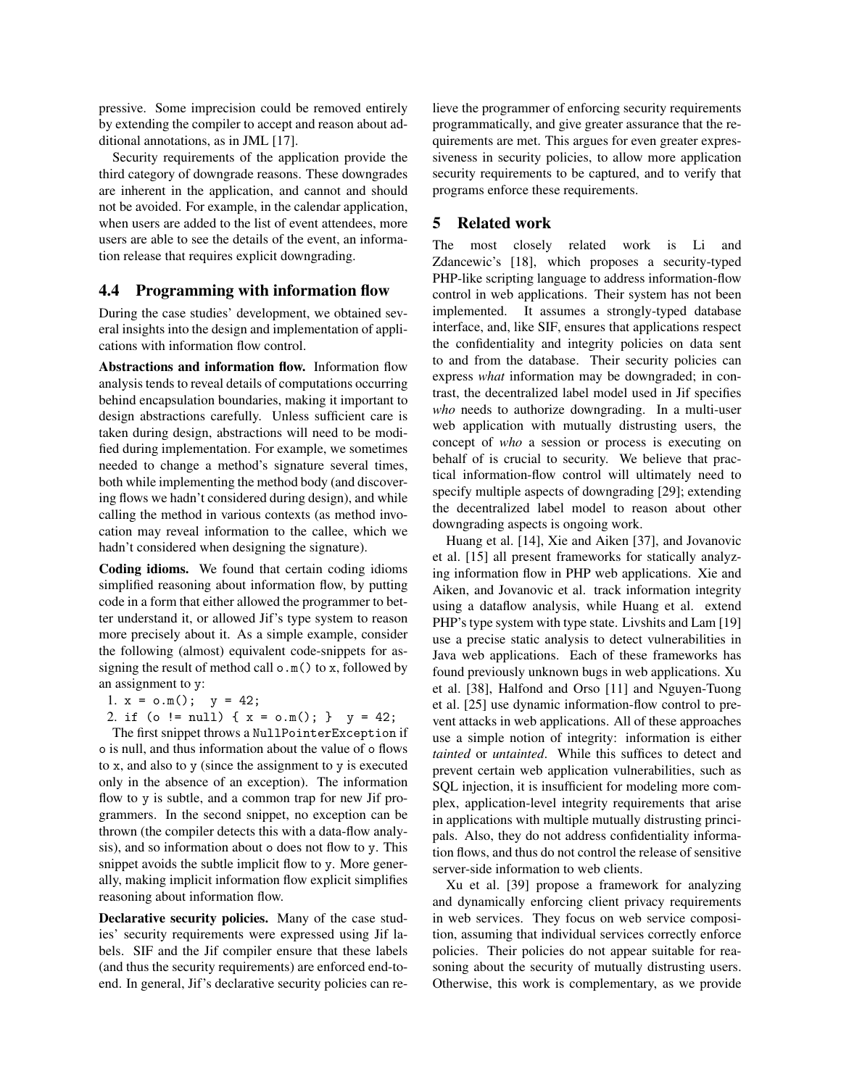pressive. Some imprecision could be removed entirely by extending the compiler to accept and reason about additional annotations, as in JML [17].

Security requirements of the application provide the third category of downgrade reasons. These downgrades are inherent in the application, and cannot and should not be avoided. For example, in the calendar application, when users are added to the list of event attendees, more users are able to see the details of the event, an information release that requires explicit downgrading.

# 4.4 Programming with information flow

During the case studies' development, we obtained several insights into the design and implementation of applications with information flow control.

Abstractions and information flow. Information flow analysis tends to reveal details of computations occurring behind encapsulation boundaries, making it important to design abstractions carefully. Unless sufficient care is taken during design, abstractions will need to be modified during implementation. For example, we sometimes needed to change a method's signature several times, both while implementing the method body (and discovering flows we hadn't considered during design), and while calling the method in various contexts (as method invocation may reveal information to the callee, which we hadn't considered when designing the signature).

Coding idioms. We found that certain coding idioms simplified reasoning about information flow, by putting code in a form that either allowed the programmer to better understand it, or allowed Jif's type system to reason more precisely about it. As a simple example, consider the following (almost) equivalent code-snippets for assigning the result of method call  $\circ$ .m() to x, followed by an assignment to y:

- 1.  $x = o.m()$ ;  $y = 42$ ;
- 2. if (o != null) {  $x = o.m()$ ; }  $y = 42$ ;

The first snippet throws a NullPointerException if o is null, and thus information about the value of o flows to x, and also to y (since the assignment to y is executed only in the absence of an exception). The information flow to y is subtle, and a common trap for new Jif programmers. In the second snippet, no exception can be thrown (the compiler detects this with a data-flow analysis), and so information about o does not flow to y. This snippet avoids the subtle implicit flow to y. More generally, making implicit information flow explicit simplifies reasoning about information flow.

Declarative security policies. Many of the case studies' security requirements were expressed using Jif labels. SIF and the Jif compiler ensure that these labels (and thus the security requirements) are enforced end-toend. In general, Jif's declarative security policies can relieve the programmer of enforcing security requirements programmatically, and give greater assurance that the requirements are met. This argues for even greater expressiveness in security policies, to allow more application security requirements to be captured, and to verify that programs enforce these requirements.

#### 5 Related work

The most closely related work is Li and Zdancewic's [18], which proposes a security-typed PHP-like scripting language to address information-flow control in web applications. Their system has not been implemented. It assumes a strongly-typed database interface, and, like SIF, ensures that applications respect the confidentiality and integrity policies on data sent to and from the database. Their security policies can express *what* information may be downgraded; in contrast, the decentralized label model used in Jif specifies *who* needs to authorize downgrading. In a multi-user web application with mutually distrusting users, the concept of *who* a session or process is executing on behalf of is crucial to security. We believe that practical information-flow control will ultimately need to specify multiple aspects of downgrading [29]; extending the decentralized label model to reason about other downgrading aspects is ongoing work.

Huang et al. [14], Xie and Aiken [37], and Jovanovic et al. [15] all present frameworks for statically analyzing information flow in PHP web applications. Xie and Aiken, and Jovanovic et al. track information integrity using a dataflow analysis, while Huang et al. extend PHP's type system with type state. Livshits and Lam [19] use a precise static analysis to detect vulnerabilities in Java web applications. Each of these frameworks has found previously unknown bugs in web applications. Xu et al. [38], Halfond and Orso [11] and Nguyen-Tuong et al. [25] use dynamic information-flow control to prevent attacks in web applications. All of these approaches use a simple notion of integrity: information is either *tainted* or *untainted*. While this suffices to detect and prevent certain web application vulnerabilities, such as SQL injection, it is insufficient for modeling more complex, application-level integrity requirements that arise in applications with multiple mutually distrusting principals. Also, they do not address confidentiality information flows, and thus do not control the release of sensitive server-side information to web clients.

Xu et al. [39] propose a framework for analyzing and dynamically enforcing client privacy requirements in web services. They focus on web service composition, assuming that individual services correctly enforce policies. Their policies do not appear suitable for reasoning about the security of mutually distrusting users. Otherwise, this work is complementary, as we provide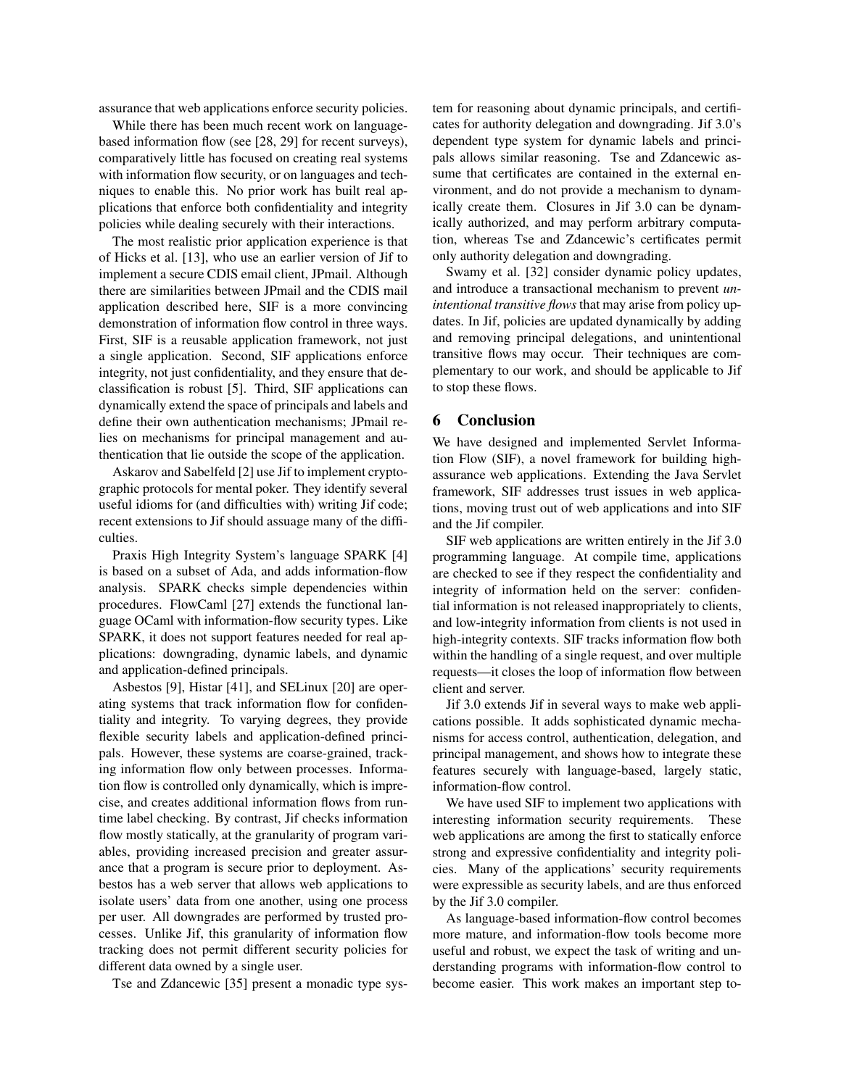assurance that web applications enforce security policies.

While there has been much recent work on languagebased information flow (see [28, 29] for recent surveys), comparatively little has focused on creating real systems with information flow security, or on languages and techniques to enable this. No prior work has built real applications that enforce both confidentiality and integrity policies while dealing securely with their interactions.

The most realistic prior application experience is that of Hicks et al. [13], who use an earlier version of Jif to implement a secure CDIS email client, JPmail. Although there are similarities between JPmail and the CDIS mail application described here, SIF is a more convincing demonstration of information flow control in three ways. First, SIF is a reusable application framework, not just a single application. Second, SIF applications enforce integrity, not just confidentiality, and they ensure that declassification is robust [5]. Third, SIF applications can dynamically extend the space of principals and labels and define their own authentication mechanisms; JPmail relies on mechanisms for principal management and authentication that lie outside the scope of the application.

Askarov and Sabelfeld [2] use Jif to implement cryptographic protocols for mental poker. They identify several useful idioms for (and difficulties with) writing Jif code; recent extensions to Jif should assuage many of the difficulties.

Praxis High Integrity System's language SPARK [4] is based on a subset of Ada, and adds information-flow analysis. SPARK checks simple dependencies within procedures. FlowCaml [27] extends the functional language OCaml with information-flow security types. Like SPARK, it does not support features needed for real applications: downgrading, dynamic labels, and dynamic and application-defined principals.

Asbestos [9], Histar [41], and SELinux [20] are operating systems that track information flow for confidentiality and integrity. To varying degrees, they provide flexible security labels and application-defined principals. However, these systems are coarse-grained, tracking information flow only between processes. Information flow is controlled only dynamically, which is imprecise, and creates additional information flows from runtime label checking. By contrast, Jif checks information flow mostly statically, at the granularity of program variables, providing increased precision and greater assurance that a program is secure prior to deployment. Asbestos has a web server that allows web applications to isolate users' data from one another, using one process per user. All downgrades are performed by trusted processes. Unlike Jif, this granularity of information flow tracking does not permit different security policies for different data owned by a single user.

Tse and Zdancewic [35] present a monadic type sys-

tem for reasoning about dynamic principals, and certificates for authority delegation and downgrading. Jif 3.0's dependent type system for dynamic labels and principals allows similar reasoning. Tse and Zdancewic assume that certificates are contained in the external environment, and do not provide a mechanism to dynamically create them. Closures in Jif 3.0 can be dynamically authorized, and may perform arbitrary computation, whereas Tse and Zdancewic's certificates permit only authority delegation and downgrading.

Swamy et al. [32] consider dynamic policy updates, and introduce a transactional mechanism to prevent *unintentional transitive flows* that may arise from policy updates. In Jif, policies are updated dynamically by adding and removing principal delegations, and unintentional transitive flows may occur. Their techniques are complementary to our work, and should be applicable to Jif to stop these flows.

### 6 Conclusion

We have designed and implemented Servlet Information Flow (SIF), a novel framework for building highassurance web applications. Extending the Java Servlet framework, SIF addresses trust issues in web applications, moving trust out of web applications and into SIF and the Jif compiler.

SIF web applications are written entirely in the Jif 3.0 programming language. At compile time, applications are checked to see if they respect the confidentiality and integrity of information held on the server: confidential information is not released inappropriately to clients, and low-integrity information from clients is not used in high-integrity contexts. SIF tracks information flow both within the handling of a single request, and over multiple requests—it closes the loop of information flow between client and server.

Jif 3.0 extends Jif in several ways to make web applications possible. It adds sophisticated dynamic mechanisms for access control, authentication, delegation, and principal management, and shows how to integrate these features securely with language-based, largely static, information-flow control.

We have used SIF to implement two applications with interesting information security requirements. These web applications are among the first to statically enforce strong and expressive confidentiality and integrity policies. Many of the applications' security requirements were expressible as security labels, and are thus enforced by the Jif 3.0 compiler.

As language-based information-flow control becomes more mature, and information-flow tools become more useful and robust, we expect the task of writing and understanding programs with information-flow control to become easier. This work makes an important step to-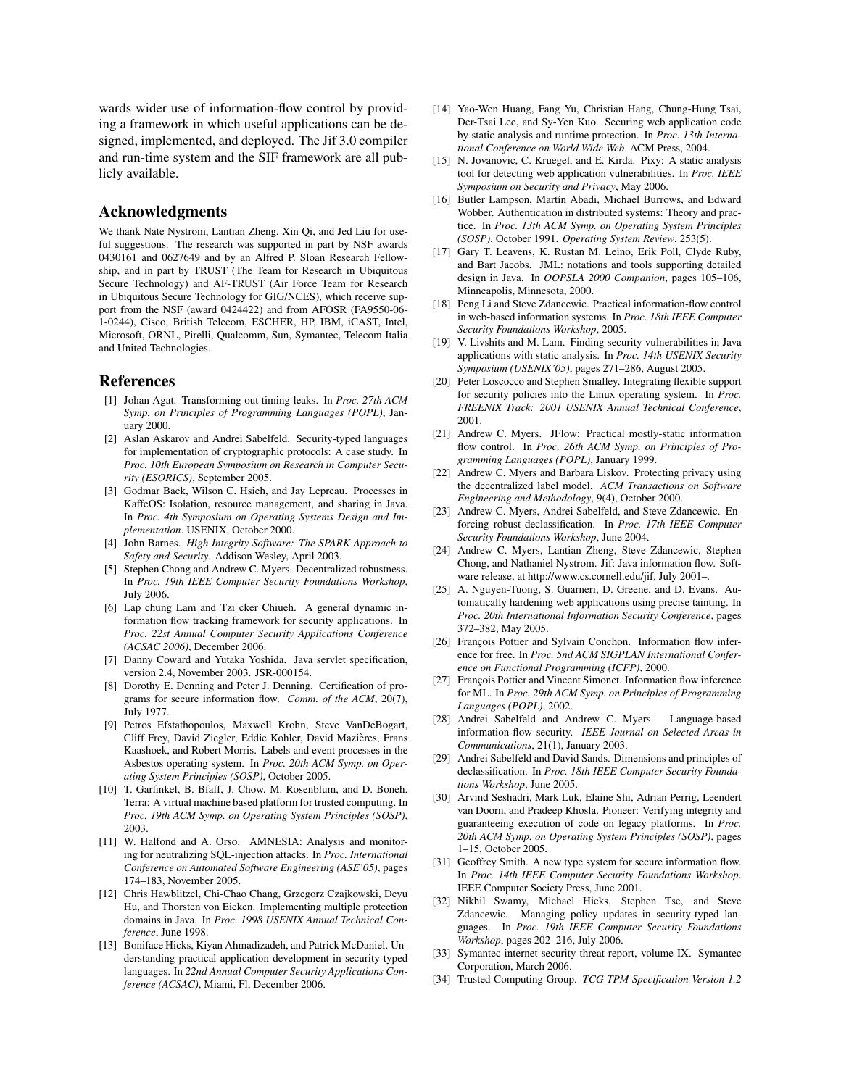wards wider use of information-flow control by providing a framework in which useful applications can be designed, implemented, and deployed. The Jif 3.0 compiler and run-time system and the SIF framework are all publicly available.

#### Acknowledgments

We thank Nate Nystrom, Lantian Zheng, Xin Qi, and Jed Liu for useful suggestions. The research was supported in part by NSF awards 0430161 and 0627649 and by an Alfred P. Sloan Research Fellowship, and in part by TRUST (The Team for Research in Ubiquitous Secure Technology) and AF-TRUST (Air Force Team for Research in Ubiquitous Secure Technology for GIG/NCES), which receive support from the NSF (award 0424422) and from AFOSR (FA9550-06- 1-0244), Cisco, British Telecom, ESCHER, HP, IBM, iCAST, Intel, Microsoft, ORNL, Pirelli, Qualcomm, Sun, Symantec, Telecom Italia and United Technologies.

#### References

- [1] Johan Agat. Transforming out timing leaks. In *Proc. 27th ACM Symp. on Principles of Programming Languages (POPL)*, January 2000.
- [2] Aslan Askarov and Andrei Sabelfeld. Security-typed languages for implementation of cryptographic protocols: A case study. In *Proc. 10th European Symposium on Research in Computer Security (ESORICS)*, September 2005.
- [3] Godmar Back, Wilson C. Hsieh, and Jay Lepreau. Processes in KaffeOS: Isolation, resource management, and sharing in Java. In *Proc. 4th Symposium on Operating Systems Design and Implementation*. USENIX, October 2000.
- [4] John Barnes. *High Integrity Software: The SPARK Approach to Safety and Security*. Addison Wesley, April 2003.
- [5] Stephen Chong and Andrew C. Myers. Decentralized robustness. In *Proc. 19th IEEE Computer Security Foundations Workshop*, July 2006.
- [6] Lap chung Lam and Tzi cker Chiueh. A general dynamic information flow tracking framework for security applications. In *Proc. 22st Annual Computer Security Applications Conference (ACSAC 2006)*, December 2006.
- [7] Danny Coward and Yutaka Yoshida. Java servlet specification, version 2.4, November 2003. JSR-000154.
- [8] Dorothy E. Denning and Peter J. Denning. Certification of programs for secure information flow. *Comm. of the ACM*, 20(7), July 1977.
- [9] Petros Efstathopoulos, Maxwell Krohn, Steve VanDeBogart, Cliff Frey, David Ziegler, Eddie Kohler, David Mazieres, Frans ` Kaashoek, and Robert Morris. Labels and event processes in the Asbestos operating system. In *Proc. 20th ACM Symp. on Operating System Principles (SOSP)*, October 2005.
- [10] T. Garfinkel, B. Bfaff, J. Chow, M. Rosenblum, and D. Boneh. Terra: A virtual machine based platform for trusted computing. In *Proc. 19th ACM Symp. on Operating System Principles (SOSP)*, 2003.
- [11] W. Halfond and A. Orso. AMNESIA: Analysis and monitoring for neutralizing SQL-injection attacks. In *Proc. International Conference on Automated Software Engineering (ASE'05)*, pages 174–183, November 2005.
- [12] Chris Hawblitzel, Chi-Chao Chang, Grzegorz Czajkowski, Deyu Hu, and Thorsten von Eicken. Implementing multiple protection domains in Java. In *Proc. 1998 USENIX Annual Technical Conference*, June 1998.
- [13] Boniface Hicks, Kiyan Ahmadizadeh, and Patrick McDaniel. Understanding practical application development in security-typed languages. In *22nd Annual Computer Security Applications Conference (ACSAC)*, Miami, Fl, December 2006.
- [14] Yao-Wen Huang, Fang Yu, Christian Hang, Chung-Hung Tsai, Der-Tsai Lee, and Sy-Yen Kuo. Securing web application code by static analysis and runtime protection. In *Proc. 13th International Conference on World Wide Web*. ACM Press, 2004.
- [15] N. Jovanovic, C. Kruegel, and E. Kirda. Pixy: A static analysis tool for detecting web application vulnerabilities. In *Proc. IEEE Symposium on Security and Privacy*, May 2006.
- [16] Butler Lampson, Martín Abadi, Michael Burrows, and Edward Wobber. Authentication in distributed systems: Theory and practice. In *Proc. 13th ACM Symp. on Operating System Principles (SOSP)*, October 1991. *Operating System Review*, 253(5).
- [17] Gary T. Leavens, K. Rustan M. Leino, Erik Poll, Clyde Ruby, and Bart Jacobs. JML: notations and tools supporting detailed design in Java. In *OOPSLA 2000 Companion*, pages 105–106, Minneapolis, Minnesota, 2000.
- [18] Peng Li and Steve Zdancewic. Practical information-flow control in web-based information systems. In *Proc. 18th IEEE Computer Security Foundations Workshop*, 2005.
- [19] V. Livshits and M. Lam. Finding security vulnerabilities in Java applications with static analysis. In *Proc. 14th USENIX Security Symposium (USENIX'05)*, pages 271–286, August 2005.
- [20] Peter Loscocco and Stephen Smalley. Integrating flexible support for security policies into the Linux operating system. In *Proc. FREENIX Track: 2001 USENIX Annual Technical Conference*, 2001.
- [21] Andrew C. Myers. JFlow: Practical mostly-static information flow control. In *Proc. 26th ACM Symp. on Principles of Programming Languages (POPL)*, January 1999.
- [22] Andrew C. Myers and Barbara Liskov. Protecting privacy using the decentralized label model. *ACM Transactions on Software Engineering and Methodology*, 9(4), October 2000.
- [23] Andrew C. Myers, Andrei Sabelfeld, and Steve Zdancewic. Enforcing robust declassification. In *Proc. 17th IEEE Computer Security Foundations Workshop*, June 2004.
- [24] Andrew C. Myers, Lantian Zheng, Steve Zdancewic, Stephen Chong, and Nathaniel Nystrom. Jif: Java information flow. Software release, at http://www.cs.cornell.edu/jif, July 2001–.
- [25] A. Nguyen-Tuong, S. Guarneri, D. Greene, and D. Evans. Automatically hardening web applications using precise tainting. In *Proc. 20th International Information Security Conference*, pages 372–382, May 2005.
- [26] François Pottier and Sylvain Conchon. Information flow inference for free. In *Proc. 5nd ACM SIGPLAN International Conference on Functional Programming (ICFP)*, 2000.
- [27] François Pottier and Vincent Simonet. Information flow inference for ML. In *Proc. 29th ACM Symp. on Principles of Programming Languages (POPL)*, 2002.
- [28] Andrei Sabelfeld and Andrew C. Myers. Language-based information-flow security. *IEEE Journal on Selected Areas in Communications*, 21(1), January 2003.
- [29] Andrei Sabelfeld and David Sands. Dimensions and principles of declassification. In *Proc. 18th IEEE Computer Security Foundations Workshop*, June 2005.
- [30] Arvind Seshadri, Mark Luk, Elaine Shi, Adrian Perrig, Leendert van Doorn, and Pradeep Khosla. Pioneer: Verifying integrity and guaranteeing execution of code on legacy platforms. In *Proc. 20th ACM Symp. on Operating System Principles (SOSP)*, pages 1–15, October 2005.
- [31] Geoffrey Smith. A new type system for secure information flow. In *Proc. 14th IEEE Computer Security Foundations Workshop*. IEEE Computer Society Press, June 2001.
- [32] Nikhil Swamy, Michael Hicks, Stephen Tse, and Steve Zdancewic. Managing policy updates in security-typed languages. In *Proc. 19th IEEE Computer Security Foundations Workshop*, pages 202–216, July 2006.
- [33] Symantec internet security threat report, volume IX. Symantec Corporation, March 2006.
- [34] Trusted Computing Group. *TCG TPM Specification Version 1.2*